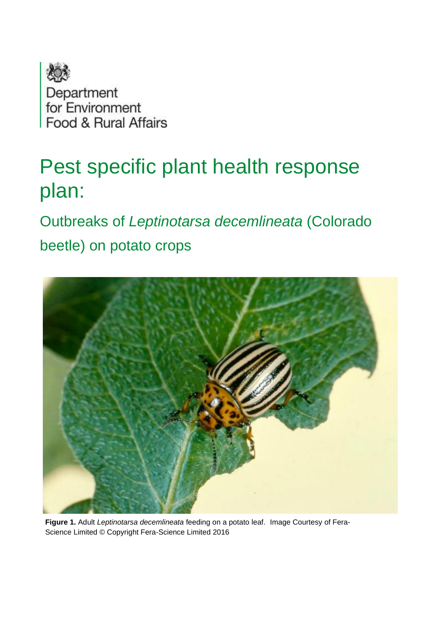

# Pest specific plant health response plan:

Outbreaks of *Leptinotarsa decemlineata* (Colorado

beetle) on potato crops



**Figure 1.** Adult *Leptinotarsa decemlineata* feeding on a potato leaf. Image Courtesy of Fera-Science Limited © Copyright Fera-Science Limited 2016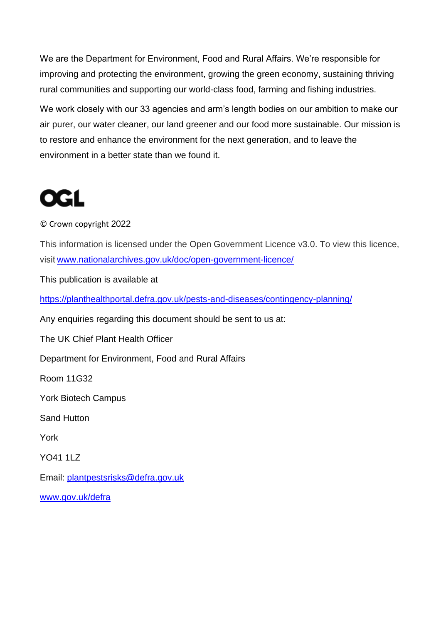We are the Department for Environment, Food and Rural Affairs. We're responsible for improving and protecting the environment, growing the green economy, sustaining thriving rural communities and supporting our world-class food, farming and fishing industries.

We work closely with our 33 agencies and arm's length bodies on our ambition to make our air purer, our water cleaner, our land greener and our food more sustainable. Our mission is to restore and enhance the environment for the next generation, and to leave the environment in a better state than we found it.

# **OGL**

#### © Crown copyright 2022

This information is licensed under the Open Government Licence v3.0. To view this licence, visit[www.nationalarchives.gov.uk/doc/open-government-licence/](http://www.nationalarchives.gov.uk/doc/open-government-licence/)

This publication is available at

<https://planthealthportal.defra.gov.uk/pests-and-diseases/contingency-planning/>

Any enquiries regarding this document should be sent to us at:

The UK Chief Plant Health Officer

Department for Environment, Food and Rural Affairs

Room 11G32

York Biotech Campus

Sand Hutton

York

YO41 1LZ

Email: [plantpestsrisks@defra.gov.uk](mailto:plantpestsrisks@defra.gov.uk)

[www.gov.uk/defra](http://www.gov.uk/defra)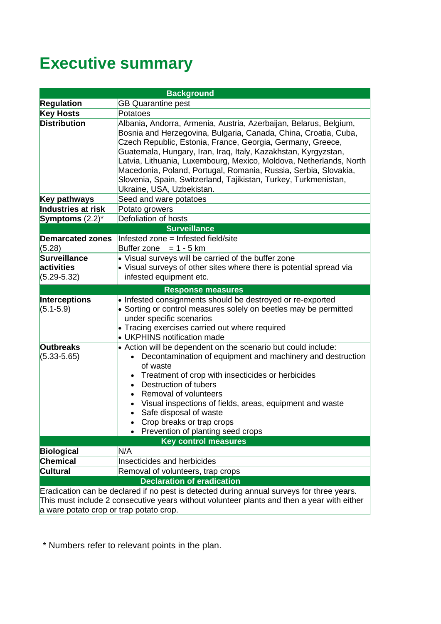# **Executive summary**

| <b>Background</b>                       |                                                                                                                                                                                                                                                                                                                                                                                                                                                                                                               |  |  |  |
|-----------------------------------------|---------------------------------------------------------------------------------------------------------------------------------------------------------------------------------------------------------------------------------------------------------------------------------------------------------------------------------------------------------------------------------------------------------------------------------------------------------------------------------------------------------------|--|--|--|
| <b>Regulation</b>                       | <b>GB Quarantine pest</b>                                                                                                                                                                                                                                                                                                                                                                                                                                                                                     |  |  |  |
| <b>Key Hosts</b>                        | Potatoes                                                                                                                                                                                                                                                                                                                                                                                                                                                                                                      |  |  |  |
| <b>Distribution</b>                     | Albania, Andorra, Armenia, Austria, Azerbaijan, Belarus, Belgium,<br>Bosnia and Herzegovina, Bulgaria, Canada, China, Croatia, Cuba,<br>Czech Republic, Estonia, France, Georgia, Germany, Greece,<br>Guatemala, Hungary, Iran, Iraq, Italy, Kazakhstan, Kyrgyzstan,<br>Latvia, Lithuania, Luxembourg, Mexico, Moldova, Netherlands, North<br>Macedonia, Poland, Portugal, Romania, Russia, Serbia, Slovakia,<br>Slovenia, Spain, Switzerland, Tajikistan, Turkey, Turkmenistan,<br>Ukraine, USA, Uzbekistan. |  |  |  |
| Key pathways                            | Seed and ware potatoes                                                                                                                                                                                                                                                                                                                                                                                                                                                                                        |  |  |  |
| Industries at risk                      | Potato growers                                                                                                                                                                                                                                                                                                                                                                                                                                                                                                |  |  |  |
| Symptoms $(2.2)^*$                      | Defoliation of hosts                                                                                                                                                                                                                                                                                                                                                                                                                                                                                          |  |  |  |
|                                         | <b>Surveillance</b>                                                                                                                                                                                                                                                                                                                                                                                                                                                                                           |  |  |  |
| <b>Demarcated zones</b>                 | Infested zone = Infested field/site                                                                                                                                                                                                                                                                                                                                                                                                                                                                           |  |  |  |
| (5.28)                                  | Buffer zone = $1 - 5$ km                                                                                                                                                                                                                                                                                                                                                                                                                                                                                      |  |  |  |
| Surveillance<br>activities              | • Visual surveys will be carried of the buffer zone<br>• Visual surveys of other sites where there is potential spread via                                                                                                                                                                                                                                                                                                                                                                                    |  |  |  |
| $(5.29 - 5.32)$                         | infested equipment etc.                                                                                                                                                                                                                                                                                                                                                                                                                                                                                       |  |  |  |
|                                         |                                                                                                                                                                                                                                                                                                                                                                                                                                                                                                               |  |  |  |
|                                         | <b>Response measures</b>                                                                                                                                                                                                                                                                                                                                                                                                                                                                                      |  |  |  |
| Interceptions<br>$(5.1 - 5.9)$          | • Infested consignments should be destroyed or re-exported<br>• Sorting or control measures solely on beetles may be permitted<br>under specific scenarios<br>• Tracing exercises carried out where required<br>• UKPHINS notification made                                                                                                                                                                                                                                                                   |  |  |  |
| <b>Outbreaks</b><br>$(5.33 - 5.65)$     | $\bullet$ Action will be dependent on the scenario but could include:<br>• Decontamination of equipment and machinery and destruction<br>of waste<br>Treatment of crop with insecticides or herbicides<br>• Destruction of tubers<br>Removal of volunteers<br>• Visual inspections of fields, areas, equipment and waste<br>• Safe disposal of waste<br>Crop breaks or trap crops<br>Prevention of planting seed crops                                                                                        |  |  |  |
|                                         | <b>Key control measures</b>                                                                                                                                                                                                                                                                                                                                                                                                                                                                                   |  |  |  |
| <b>Biological</b>                       | N/A                                                                                                                                                                                                                                                                                                                                                                                                                                                                                                           |  |  |  |
| <b>Chemical</b>                         | Insecticides and herbicides                                                                                                                                                                                                                                                                                                                                                                                                                                                                                   |  |  |  |
| <b>Cultural</b>                         | Removal of volunteers, trap crops                                                                                                                                                                                                                                                                                                                                                                                                                                                                             |  |  |  |
|                                         | <b>Declaration of eradication</b>                                                                                                                                                                                                                                                                                                                                                                                                                                                                             |  |  |  |
| a ware potato crop or trap potato crop. | Eradication can be declared if no pest is detected during annual surveys for three years.<br>This must include 2 consecutive years without volunteer plants and then a year with either                                                                                                                                                                                                                                                                                                                       |  |  |  |

\* Numbers refer to relevant points in the plan.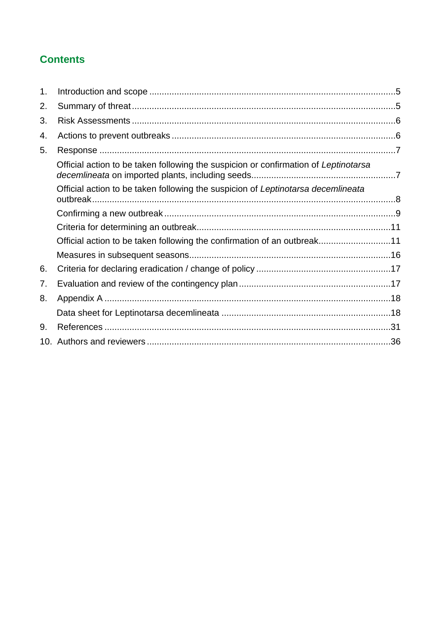## **Contents**

| 1 <sub>1</sub> |                                                                                     |  |
|----------------|-------------------------------------------------------------------------------------|--|
| 2.             |                                                                                     |  |
| 3.             |                                                                                     |  |
| 4.             |                                                                                     |  |
| 5.             |                                                                                     |  |
|                | Official action to be taken following the suspicion or confirmation of Leptinotarsa |  |
|                | Official action to be taken following the suspicion of Leptinotarsa decemlineata    |  |
|                |                                                                                     |  |
|                |                                                                                     |  |
|                | Official action to be taken following the confirmation of an outbreak11             |  |
|                |                                                                                     |  |
| 6.             |                                                                                     |  |
| 7.             |                                                                                     |  |
| 8.             |                                                                                     |  |
|                |                                                                                     |  |
| 9.             |                                                                                     |  |
|                |                                                                                     |  |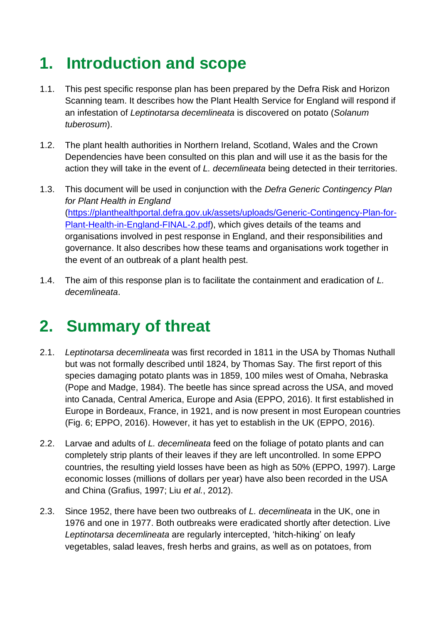# <span id="page-4-0"></span>**1. Introduction and scope**

- 1.1. This pest specific response plan has been prepared by the Defra Risk and Horizon Scanning team. It describes how the Plant Health Service for England will respond if an infestation of *Leptinotarsa decemlineata* is discovered on potato (*Solanum tuberosum*).
- 1.2. The plant health authorities in Northern Ireland, Scotland, Wales and the Crown Dependencies have been consulted on this plan and will use it as the basis for the action they will take in the event of *L. decemlineata* being detected in their territories.
- 1.3. This document will be used in conjunction with the *Defra Generic Contingency Plan for Plant Health in England* [\(https://planthealthportal.defra.gov.uk/assets/uploads/Generic-Contingency-Plan-for-](https://planthealthportal.defra.gov.uk/assets/uploads/Generic-Contingency-Plan-for-Plant-Health-in-England-FINAL-2.pdf)[Plant-Health-in-England-FINAL-2.pdf\)](https://planthealthportal.defra.gov.uk/assets/uploads/Generic-Contingency-Plan-for-Plant-Health-in-England-FINAL-2.pdf), which gives details of the teams and organisations involved in pest response in England, and their responsibilities and governance. It also describes how these teams and organisations work together in the event of an outbreak of a plant health pest.
- 1.4. The aim of this response plan is to facilitate the containment and eradication of *L. decemlineata*.

# <span id="page-4-1"></span>**2. Summary of threat**

- 2.1. *Leptinotarsa decemlineata* was first recorded in 1811 in the USA by Thomas Nuthall but was not formally described until 1824, by Thomas Say. The first report of this species damaging potato plants was in 1859, 100 miles west of Omaha, Nebraska (Pope and Madge, 1984). The beetle has since spread across the USA, and moved into Canada, Central America, Europe and Asia (EPPO, 2016). It first established in Europe in Bordeaux, France, in 1921, and is now present in most European countries (Fig. 6; EPPO, 2016). However, it has yet to establish in the UK (EPPO, 2016).
- 2.2. Larvae and adults of *L. decemlineata* feed on the foliage of potato plants and can completely strip plants of their leaves if they are left uncontrolled. In some EPPO countries, the resulting yield losses have been as high as 50% (EPPO, 1997). Large economic losses (millions of dollars per year) have also been recorded in the USA and China (Grafius, 1997; Liu *et al.*, 2012).
- 2.3. Since 1952, there have been two outbreaks of *L. decemlineata* in the UK, one in 1976 and one in 1977. Both outbreaks were eradicated shortly after detection. Live *Leptinotarsa decemlineata* are regularly intercepted, 'hitch-hiking' on leafy vegetables, salad leaves, fresh herbs and grains, as well as on potatoes, from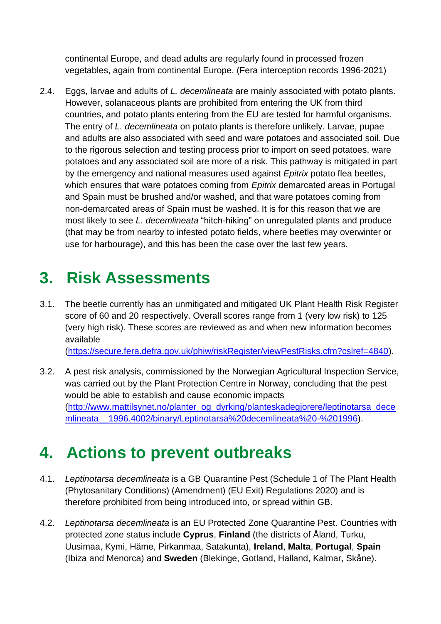continental Europe, and dead adults are regularly found in processed frozen vegetables, again from continental Europe. (Fera interception records 1996-2021)

2.4. Eggs, larvae and adults of *L. decemlineata* are mainly associated with potato plants. However, solanaceous plants are prohibited from entering the UK from third countries, and potato plants entering from the EU are tested for harmful organisms. The entry of *L. decemlineata* on potato plants is therefore unlikely. Larvae, pupae and adults are also associated with seed and ware potatoes and associated soil. Due to the rigorous selection and testing process prior to import on seed potatoes, ware potatoes and any associated soil are more of a risk. This pathway is mitigated in part by the emergency and national measures used against *Epitrix* potato flea beetles, which ensures that ware potatoes coming from *Epitrix* demarcated areas in Portugal and Spain must be brushed and/or washed, and that ware potatoes coming from non-demarcated areas of Spain must be washed. It is for this reason that we are most likely to see *L. decemlineata* "hitch-hiking" on unregulated plants and produce (that may be from nearby to infested potato fields, where beetles may overwinter or use for harbourage), and this has been the case over the last few years.

# <span id="page-5-0"></span>**3. Risk Assessments**

- 3.1. The beetle currently has an unmitigated and mitigated UK Plant Health Risk Register score of 60 and 20 respectively. Overall scores range from 1 (very low risk) to 125 (very high risk). These scores are reviewed as and when new information becomes available [\(https://secure.fera.defra.gov.uk/phiw/riskRegister/viewPestRisks.cfm?cslref=4840\)](https://secure.fera.defra.gov.uk/phiw/riskRegister/viewPestRisks.cfm?cslref=4840).
- 3.2. A pest risk analysis, commissioned by the Norwegian Agricultural Inspection Service, was carried out by the Plant Protection Centre in Norway, concluding that the pest would be able to establish and cause economic impacts [\(http://www.mattilsynet.no/planter\\_og\\_dyrking/planteskadegjorere/leptinotarsa\\_dece](http://www.mattilsynet.no/planter_og_dyrking/planteskadegjorere/leptinotarsa_decemlineata__1996.4002/binary/Leptinotarsa%20decemlineata%20-%201996) [mlineata\\_\\_1996.4002/binary/Leptinotarsa%20decemlineata%20-%201996\)](http://www.mattilsynet.no/planter_og_dyrking/planteskadegjorere/leptinotarsa_decemlineata__1996.4002/binary/Leptinotarsa%20decemlineata%20-%201996).

# <span id="page-5-1"></span>**4. Actions to prevent outbreaks**

- 4.1. *Leptinotarsa decemlineata* is a GB Quarantine Pest (Schedule 1 of The Plant Health (Phytosanitary Conditions) (Amendment) (EU Exit) Regulations 2020) and is therefore prohibited from being introduced into, or spread within GB.
- 4.2. *Leptinotarsa decemlineata* is an EU Protected Zone Quarantine Pest. Countries with protected zone status include **Cyprus**, **Finland** (the districts of Åland, Turku, Uusimaa, Kymi, Häme, Pirkanmaa, Satakunta), **Ireland**, **Malta**, **Portugal**, **Spain** (Ibiza and Menorca) and **Sweden** (Blekinge, Gotland, Halland, Kalmar, Skåne).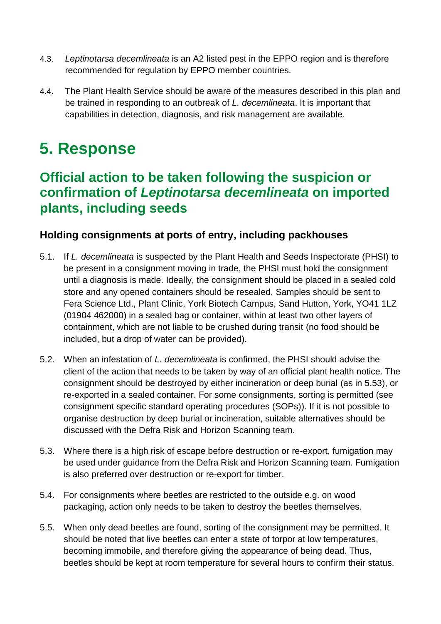- 4.3. *Leptinotarsa decemlineata* is an A2 listed pest in the EPPO region and is therefore recommended for regulation by EPPO member countries.
- 4.4. The Plant Health Service should be aware of the measures described in this plan and be trained in responding to an outbreak of *L. decemlineata*. It is important that capabilities in detection, diagnosis, and risk management are available.

# <span id="page-6-0"></span>**5. Response**

## <span id="page-6-1"></span>**Official action to be taken following the suspicion or confirmation of** *Leptinotarsa decemlineata* **on imported plants, including seeds**

### **Holding consignments at ports of entry, including packhouses**

- 5.1. If *L. decemlineata* is suspected by the Plant Health and Seeds Inspectorate (PHSI) to be present in a consignment moving in trade, the PHSI must hold the consignment until a diagnosis is made. Ideally, the consignment should be placed in a sealed cold store and any opened containers should be resealed. Samples should be sent to Fera Science Ltd., Plant Clinic, York Biotech Campus, Sand Hutton, York, YO41 1LZ (01904 462000) in a sealed bag or container, within at least two other layers of containment, which are not liable to be crushed during transit (no food should be included, but a drop of water can be provided).
- 5.2. When an infestation of *L. decemlineata* is confirmed, the PHSI should advise the client of the action that needs to be taken by way of an official plant health notice. The consignment should be destroyed by either incineration or deep burial (as in 5.53), or re-exported in a sealed container. For some consignments, sorting is permitted (see consignment specific standard operating procedures (SOPs)). If it is not possible to organise destruction by deep burial or incineration, suitable alternatives should be discussed with the Defra Risk and Horizon Scanning team.
- 5.3. Where there is a high risk of escape before destruction or re-export, fumigation may be used under guidance from the Defra Risk and Horizon Scanning team. Fumigation is also preferred over destruction or re-export for timber.
- 5.4. For consignments where beetles are restricted to the outside e.g. on wood packaging, action only needs to be taken to destroy the beetles themselves.
- 5.5. When only dead beetles are found, sorting of the consignment may be permitted. It should be noted that live beetles can enter a state of torpor at low temperatures, becoming immobile, and therefore giving the appearance of being dead. Thus, beetles should be kept at room temperature for several hours to confirm their status.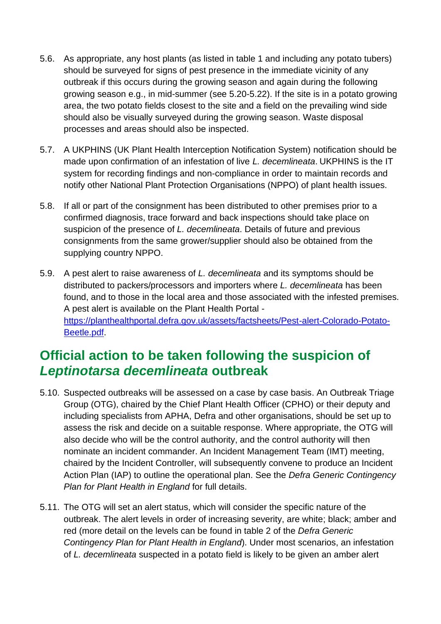- 5.6. As appropriate, any host plants (as listed in table 1 and including any potato tubers) should be surveyed for signs of pest presence in the immediate vicinity of any outbreak if this occurs during the growing season and again during the following growing season e.g., in mid-summer (see 5.20-5.22). If the site is in a potato growing area, the two potato fields closest to the site and a field on the prevailing wind side should also be visually surveyed during the growing season. Waste disposal processes and areas should also be inspected.
- 5.7. A UKPHINS (UK Plant Health Interception Notification System) notification should be made upon confirmation of an infestation of live *L. decemlineata*. UKPHINS is the IT system for recording findings and non-compliance in order to maintain records and notify other National Plant Protection Organisations (NPPO) of plant health issues.
- 5.8. If all or part of the consignment has been distributed to other premises prior to a confirmed diagnosis, trace forward and back inspections should take place on suspicion of the presence of *L. decemlineata*. Details of future and previous consignments from the same grower/supplier should also be obtained from the supplying country NPPO.
- 5.9. A pest alert to raise awareness of *L. decemlineata* and its symptoms should be distributed to packers/processors and importers where *L. decemlineata* has been found, and to those in the local area and those associated with the infested premises. A pest alert is available on the Plant Health Portal [https://planthealthportal.defra.gov.uk/assets/factsheets/Pest-alert-Colorado-Potato-](https://planthealthportal.defra.gov.uk/assets/factsheets/Pest-alert-Colorado-Potato-Beetle.pdf)[Beetle.pdf.](https://planthealthportal.defra.gov.uk/assets/factsheets/Pest-alert-Colorado-Potato-Beetle.pdf)

## <span id="page-7-0"></span>**Official action to be taken following the suspicion of**  *Leptinotarsa decemlineata* **outbreak**

- 5.10. Suspected outbreaks will be assessed on a case by case basis. An Outbreak Triage Group (OTG), chaired by the Chief Plant Health Officer (CPHO) or their deputy and including specialists from APHA, Defra and other organisations, should be set up to assess the risk and decide on a suitable response. Where appropriate, the OTG will also decide who will be the control authority, and the control authority will then nominate an incident commander. An Incident Management Team (IMT) meeting, chaired by the Incident Controller, will subsequently convene to produce an Incident Action Plan (IAP) to outline the operational plan. See the *Defra Generic Contingency Plan for Plant Health in England* for full details.
- 5.11. The OTG will set an alert status, which will consider the specific nature of the outbreak. The alert levels in order of increasing severity, are white; black; amber and red (more detail on the levels can be found in table 2 of the *Defra Generic Contingency Plan for Plant Health in England*). Under most scenarios, an infestation of *L. decemlineata* suspected in a potato field is likely to be given an amber alert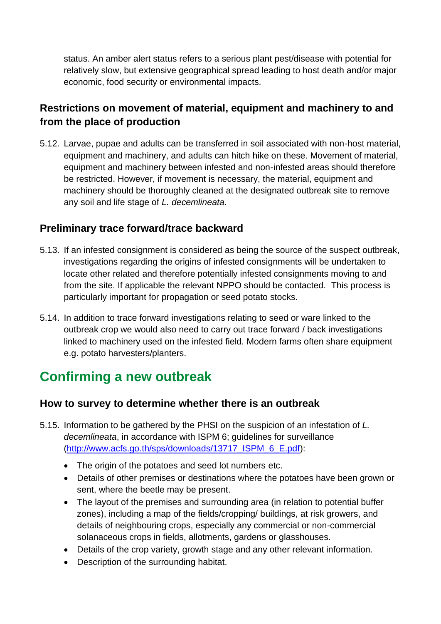status. An amber alert status refers to a serious plant pest/disease with potential for relatively slow, but extensive geographical spread leading to host death and/or major economic, food security or environmental impacts.

## **Restrictions on movement of material, equipment and machinery to and from the place of production**

5.12. Larvae, pupae and adults can be transferred in soil associated with non-host material, equipment and machinery, and adults can hitch hike on these. Movement of material, equipment and machinery between infested and non-infested areas should therefore be restricted. However, if movement is necessary, the material, equipment and machinery should be thoroughly cleaned at the designated outbreak site to remove any soil and life stage of *L. decemlineata*.

### **Preliminary trace forward/trace backward**

- 5.13. If an infested consignment is considered as being the source of the suspect outbreak, investigations regarding the origins of infested consignments will be undertaken to locate other related and therefore potentially infested consignments moving to and from the site. If applicable the relevant NPPO should be contacted. This process is particularly important for propagation or seed potato stocks.
- 5.14. In addition to trace forward investigations relating to seed or ware linked to the outbreak crop we would also need to carry out trace forward / back investigations linked to machinery used on the infested field. Modern farms often share equipment e.g. potato harvesters/planters.

## <span id="page-8-0"></span>**Confirming a new outbreak**

### **How to survey to determine whether there is an outbreak**

- 5.15. Information to be gathered by the PHSI on the suspicion of an infestation of *L. decemlineata*, in accordance with ISPM 6; guidelines for surveillance [\(http://www.acfs.go.th/sps/downloads/13717\\_ISPM\\_6\\_E.pdf\)](http://www.acfs.go.th/sps/downloads/13717_ISPM_6_E.pdf):
	- The origin of the potatoes and seed lot numbers etc.
	- Details of other premises or destinations where the potatoes have been grown or sent, where the beetle may be present.
	- The layout of the premises and surrounding area (in relation to potential buffer zones), including a map of the fields/cropping/ buildings, at risk growers, and details of neighbouring crops, especially any commercial or non-commercial solanaceous crops in fields, allotments, gardens or glasshouses.
	- Details of the crop variety, growth stage and any other relevant information.
	- Description of the surrounding habitat.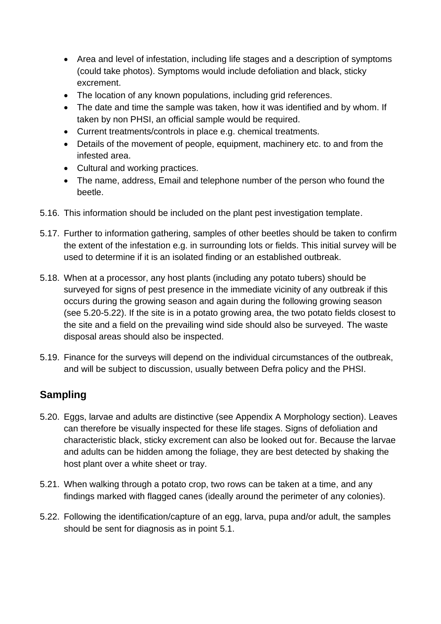- Area and level of infestation, including life stages and a description of symptoms (could take photos). Symptoms would include defoliation and black, sticky excrement.
- The location of any known populations, including grid references.
- The date and time the sample was taken, how it was identified and by whom. If taken by non PHSI, an official sample would be required.
- Current treatments/controls in place e.g. chemical treatments.
- Details of the movement of people, equipment, machinery etc. to and from the infested area.
- Cultural and working practices.
- The name, address, Email and telephone number of the person who found the beetle.
- 5.16. This information should be included on the plant pest investigation template.
- 5.17. Further to information gathering, samples of other beetles should be taken to confirm the extent of the infestation e.g. in surrounding lots or fields. This initial survey will be used to determine if it is an isolated finding or an established outbreak.
- 5.18. When at a processor, any host plants (including any potato tubers) should be surveyed for signs of pest presence in the immediate vicinity of any outbreak if this occurs during the growing season and again during the following growing season (see 5.20-5.22). If the site is in a potato growing area, the two potato fields closest to the site and a field on the prevailing wind side should also be surveyed. The waste disposal areas should also be inspected.
- 5.19. Finance for the surveys will depend on the individual circumstances of the outbreak, and will be subject to discussion, usually between Defra policy and the PHSI.

## **Sampling**

- 5.20. Eggs, larvae and adults are distinctive (see Appendix A Morphology section). Leaves can therefore be visually inspected for these life stages. Signs of defoliation and characteristic black, sticky excrement can also be looked out for. Because the larvae and adults can be hidden among the foliage, they are best detected by shaking the host plant over a white sheet or tray.
- 5.21. When walking through a potato crop, two rows can be taken at a time, and any findings marked with flagged canes (ideally around the perimeter of any colonies).
- 5.22. Following the identification/capture of an egg, larva, pupa and/or adult, the samples should be sent for diagnosis as in point 5.1.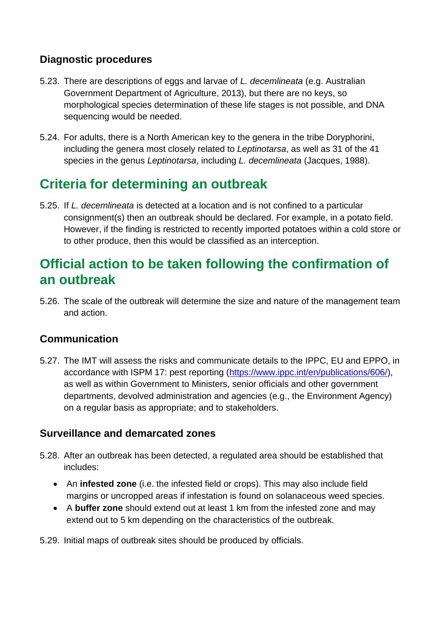### **Diagnostic procedures**

- 5.23. There are descriptions of eggs and larvae of *L. decemlineata* (e.g. Australian Government Department of Agriculture, 2013), but there are no keys, so morphological species determination of these life stages is not possible, and DNA sequencing would be needed.
- 5.24. For adults, there is a North American key to the genera in the tribe Doryphorini, including the genera most closely related to *Leptinotarsa*, as well as 31 of the 41 species in the genus *Leptinotarsa*, including *L. decemlineata* (Jacques, 1988).

# <span id="page-10-0"></span>**Criteria for determining an outbreak**

5.25. If *L. decemlineata* is detected at a location and is not confined to a particular consignment(s) then an outbreak should be declared. For example, in a potato field. However, if the finding is restricted to recently imported potatoes within a cold store or to other produce, then this would be classified as an interception.

## <span id="page-10-1"></span>**Official action to be taken following the confirmation of an outbreak**

5.26. The scale of the outbreak will determine the size and nature of the management team and action.

### **Communication**

5.27. The IMT will assess the risks and communicate details to the IPPC, EU and EPPO, in accordance with ISPM 17: pest reporting [\(https://www.ippc.int/en/publications/606/\)](https://www.ippc.int/en/publications/606/), as well as within Government to Ministers, senior officials and other government departments, devolved administration and agencies (e.g., the Environment Agency) on a regular basis as appropriate; and to stakeholders.

### **Surveillance and demarcated zones**

- 5.28. After an outbreak has been detected, a regulated area should be established that includes:
	- An **infested zone** (i.e. the infested field or crops). This may also include field margins or uncropped areas if infestation is found on solanaceous weed species.
	- A **buffer zone** should extend out at least 1 km from the infested zone and may extend out to 5 km depending on the characteristics of the outbreak.
- 5.29. Initial maps of outbreak sites should be produced by officials.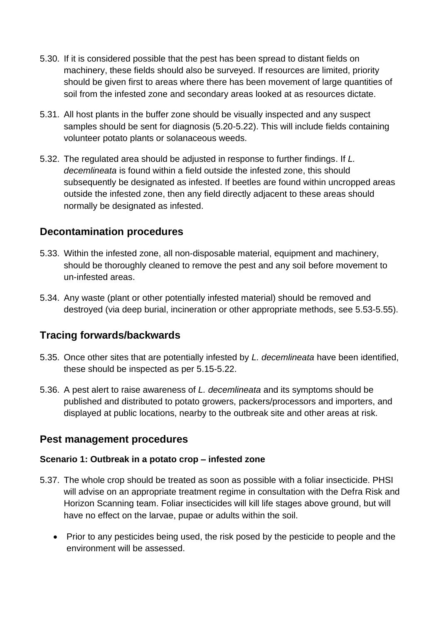- 5.30. If it is considered possible that the pest has been spread to distant fields on machinery, these fields should also be surveyed. If resources are limited, priority should be given first to areas where there has been movement of large quantities of soil from the infested zone and secondary areas looked at as resources dictate.
- 5.31. All host plants in the buffer zone should be visually inspected and any suspect samples should be sent for diagnosis (5.20-5.22). This will include fields containing volunteer potato plants or solanaceous weeds.
- 5.32. The regulated area should be adjusted in response to further findings. If *L. decemlineata* is found within a field outside the infested zone, this should subsequently be designated as infested. If beetles are found within uncropped areas outside the infested zone, then any field directly adjacent to these areas should normally be designated as infested.

### **Decontamination procedures**

- 5.33. Within the infested zone, all non-disposable material, equipment and machinery, should be thoroughly cleaned to remove the pest and any soil before movement to un-infested areas.
- 5.34. Any waste (plant or other potentially infested material) should be removed and destroyed (via deep burial, incineration or other appropriate methods, see 5.53-5.55).

### **Tracing forwards/backwards**

- 5.35. Once other sites that are potentially infested by *L. decemlineata* have been identified, these should be inspected as per 5.15-5.22.
- 5.36. A pest alert to raise awareness of *L. decemlineata* and its symptoms should be published and distributed to potato growers, packers/processors and importers, and displayed at public locations, nearby to the outbreak site and other areas at risk.

### **Pest management procedures**

#### **Scenario 1: Outbreak in a potato crop – infested zone**

- 5.37. The whole crop should be treated as soon as possible with a foliar insecticide. PHSI will advise on an appropriate treatment regime in consultation with the Defra Risk and Horizon Scanning team. Foliar insecticides will kill life stages above ground, but will have no effect on the larvae, pupae or adults within the soil.
	- Prior to any pesticides being used, the risk posed by the pesticide to people and the environment will be assessed.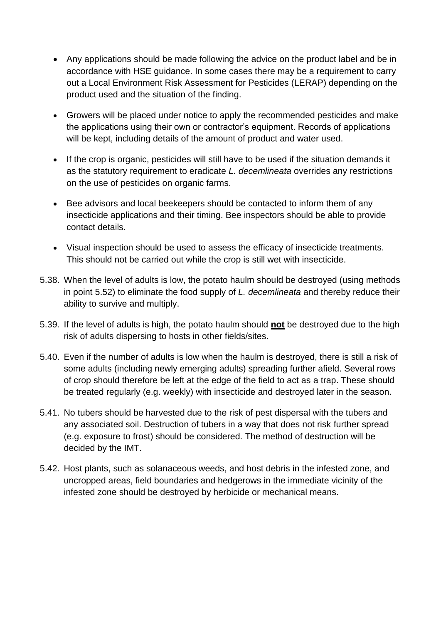- Any applications should be made following the advice on the product label and be in accordance with HSE guidance. In some cases there may be a requirement to carry out a Local Environment Risk Assessment for Pesticides (LERAP) depending on the product used and the situation of the finding.
- Growers will be placed under notice to apply the recommended pesticides and make the applications using their own or contractor's equipment. Records of applications will be kept, including details of the amount of product and water used.
- If the crop is organic, pesticides will still have to be used if the situation demands it as the statutory requirement to eradicate *L. decemlineata* overrides any restrictions on the use of pesticides on organic farms.
- Bee advisors and local beekeepers should be contacted to inform them of any insecticide applications and their timing. Bee inspectors should be able to provide contact details.
- Visual inspection should be used to assess the efficacy of insecticide treatments. This should not be carried out while the crop is still wet with insecticide.
- 5.38. When the level of adults is low, the potato haulm should be destroyed (using methods in point 5.52) to eliminate the food supply of *L. decemlineata* and thereby reduce their ability to survive and multiply.
- 5.39. If the level of adults is high, the potato haulm should **not** be destroyed due to the high risk of adults dispersing to hosts in other fields/sites.
- 5.40. Even if the number of adults is low when the haulm is destroyed, there is still a risk of some adults (including newly emerging adults) spreading further afield. Several rows of crop should therefore be left at the edge of the field to act as a trap. These should be treated regularly (e.g. weekly) with insecticide and destroyed later in the season.
- 5.41. No tubers should be harvested due to the risk of pest dispersal with the tubers and any associated soil. Destruction of tubers in a way that does not risk further spread (e.g. exposure to frost) should be considered. The method of destruction will be decided by the IMT.
- 5.42. Host plants, such as solanaceous weeds, and host debris in the infested zone, and uncropped areas, field boundaries and hedgerows in the immediate vicinity of the infested zone should be destroyed by herbicide or mechanical means.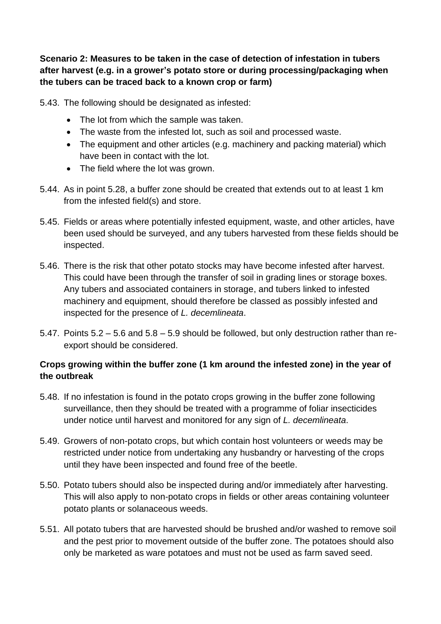**Scenario 2: Measures to be taken in the case of detection of infestation in tubers after harvest (e.g. in a grower's potato store or during processing/packaging when the tubers can be traced back to a known crop or farm)**

5.43. The following should be designated as infested:

- The lot from which the sample was taken.
- The waste from the infested lot, such as soil and processed waste.
- The equipment and other articles (e.g. machinery and packing material) which have been in contact with the lot.
- The field where the lot was grown.
- 5.44. As in point 5.28, a buffer zone should be created that extends out to at least 1 km from the infested field(s) and store.
- 5.45. Fields or areas where potentially infested equipment, waste, and other articles, have been used should be surveyed, and any tubers harvested from these fields should be inspected.
- 5.46. There is the risk that other potato stocks may have become infested after harvest. This could have been through the transfer of soil in grading lines or storage boxes. Any tubers and associated containers in storage, and tubers linked to infested machinery and equipment, should therefore be classed as possibly infested and inspected for the presence of *L. decemlineata*.
- 5.47. Points 5.2 5.6 and 5.8 5.9 should be followed, but only destruction rather than reexport should be considered.

### **Crops growing within the buffer zone (1 km around the infested zone) in the year of the outbreak**

- 5.48. If no infestation is found in the potato crops growing in the buffer zone following surveillance, then they should be treated with a programme of foliar insecticides under notice until harvest and monitored for any sign of *L. decemlineata*.
- 5.49. Growers of non-potato crops, but which contain host volunteers or weeds may be restricted under notice from undertaking any husbandry or harvesting of the crops until they have been inspected and found free of the beetle.
- 5.50. Potato tubers should also be inspected during and/or immediately after harvesting. This will also apply to non-potato crops in fields or other areas containing volunteer potato plants or solanaceous weeds.
- 5.51. All potato tubers that are harvested should be brushed and/or washed to remove soil and the pest prior to movement outside of the buffer zone. The potatoes should also only be marketed as ware potatoes and must not be used as farm saved seed.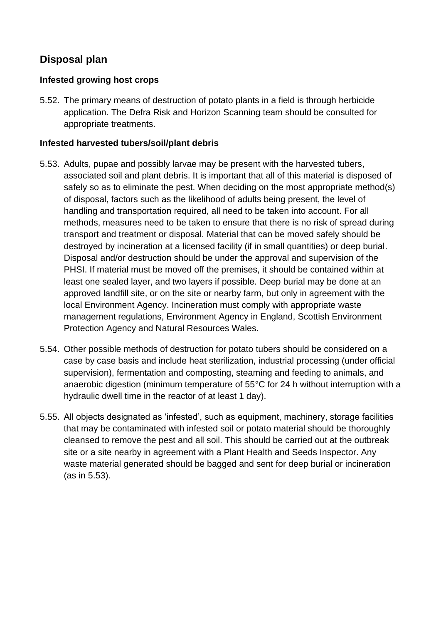### **Disposal plan**

#### **Infested growing host crops**

5.52. The primary means of destruction of potato plants in a field is through herbicide application. The Defra Risk and Horizon Scanning team should be consulted for appropriate treatments.

#### **Infested harvested tubers/soil/plant debris**

- 5.53. Adults, pupae and possibly larvae may be present with the harvested tubers, associated soil and plant debris. It is important that all of this material is disposed of safely so as to eliminate the pest. When deciding on the most appropriate method(s) of disposal, factors such as the likelihood of adults being present, the level of handling and transportation required, all need to be taken into account. For all methods, measures need to be taken to ensure that there is no risk of spread during transport and treatment or disposal. Material that can be moved safely should be destroyed by incineration at a licensed facility (if in small quantities) or deep burial. Disposal and/or destruction should be under the approval and supervision of the PHSI. If material must be moved off the premises, it should be contained within at least one sealed layer, and two layers if possible. Deep burial may be done at an approved landfill site, or on the site or nearby farm, but only in agreement with the local Environment Agency. Incineration must comply with appropriate waste management regulations, Environment Agency in England, Scottish Environment Protection Agency and Natural Resources Wales.
- 5.54. Other possible methods of destruction for potato tubers should be considered on a case by case basis and include heat sterilization, industrial processing (under official supervision), fermentation and composting, steaming and feeding to animals, and anaerobic digestion (minimum temperature of 55°C for 24 h without interruption with a hydraulic dwell time in the reactor of at least 1 day).
- 5.55. All objects designated as 'infested', such as equipment, machinery, storage facilities that may be contaminated with infested soil or potato material should be thoroughly cleansed to remove the pest and all soil. This should be carried out at the outbreak site or a site nearby in agreement with a Plant Health and Seeds Inspector. Any waste material generated should be bagged and sent for deep burial or incineration (as in 5.53).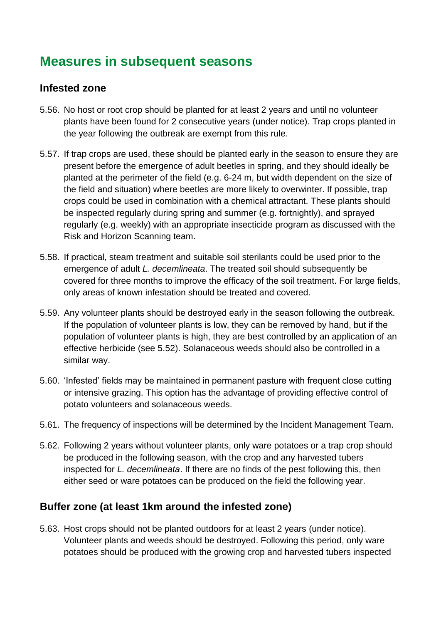## <span id="page-15-0"></span>**Measures in subsequent seasons**

### **Infested zone**

- 5.56. No host or root crop should be planted for at least 2 years and until no volunteer plants have been found for 2 consecutive years (under notice). Trap crops planted in the year following the outbreak are exempt from this rule.
- 5.57. If trap crops are used, these should be planted early in the season to ensure they are present before the emergence of adult beetles in spring, and they should ideally be planted at the perimeter of the field (e.g. 6-24 m, but width dependent on the size of the field and situation) where beetles are more likely to overwinter. If possible, trap crops could be used in combination with a chemical attractant. These plants should be inspected regularly during spring and summer (e.g. fortnightly), and sprayed regularly (e.g. weekly) with an appropriate insecticide program as discussed with the Risk and Horizon Scanning team.
- 5.58. If practical, steam treatment and suitable soil sterilants could be used prior to the emergence of adult *L. decemlineata*. The treated soil should subsequently be covered for three months to improve the efficacy of the soil treatment. For large fields, only areas of known infestation should be treated and covered.
- 5.59. Any volunteer plants should be destroyed early in the season following the outbreak. If the population of volunteer plants is low, they can be removed by hand, but if the population of volunteer plants is high, they are best controlled by an application of an effective herbicide (see 5.52). Solanaceous weeds should also be controlled in a similar way.
- 5.60. 'Infested' fields may be maintained in permanent pasture with frequent close cutting or intensive grazing. This option has the advantage of providing effective control of potato volunteers and solanaceous weeds.
- 5.61. The frequency of inspections will be determined by the Incident Management Team.
- 5.62. Following 2 years without volunteer plants, only ware potatoes or a trap crop should be produced in the following season, with the crop and any harvested tubers inspected for *L. decemlineata*. If there are no finds of the pest following this, then either seed or ware potatoes can be produced on the field the following year.

### **Buffer zone (at least 1km around the infested zone)**

5.63. Host crops should not be planted outdoors for at least 2 years (under notice). Volunteer plants and weeds should be destroyed. Following this period, only ware potatoes should be produced with the growing crop and harvested tubers inspected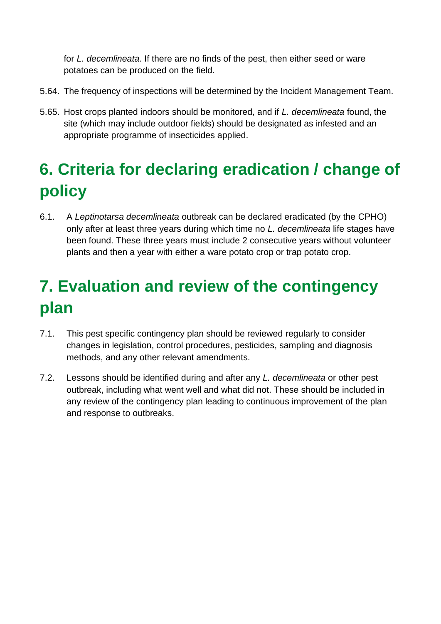for *L. decemlineata*. If there are no finds of the pest, then either seed or ware potatoes can be produced on the field.

- 5.64. The frequency of inspections will be determined by the Incident Management Team.
- 5.65. Host crops planted indoors should be monitored, and if *L. decemlineata* found, the site (which may include outdoor fields) should be designated as infested and an appropriate programme of insecticides applied.

# <span id="page-16-0"></span>**6. Criteria for declaring eradication / change of policy**

6.1. A *Leptinotarsa decemlineata* outbreak can be declared eradicated (by the CPHO) only after at least three years during which time no *L. decemlineata* life stages have been found. These three years must include 2 consecutive years without volunteer plants and then a year with either a ware potato crop or trap potato crop.

# <span id="page-16-1"></span>**7. Evaluation and review of the contingency plan**

- 7.1. This pest specific contingency plan should be reviewed regularly to consider changes in legislation, control procedures, pesticides, sampling and diagnosis methods, and any other relevant amendments.
- 7.2. Lessons should be identified during and after any *L. decemlineata* or other pest outbreak, including what went well and what did not. These should be included in any review of the contingency plan leading to continuous improvement of the plan and response to outbreaks.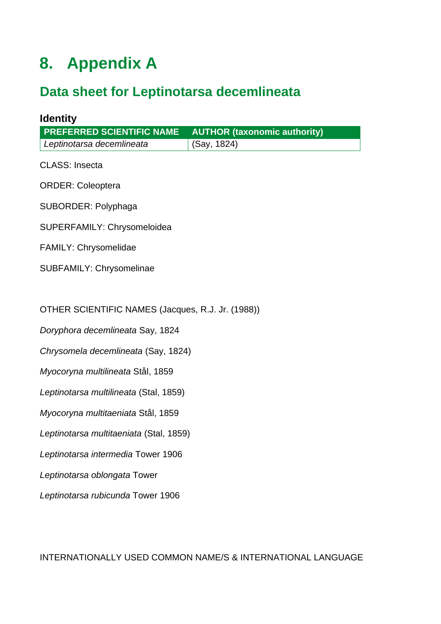# <span id="page-17-0"></span>**8. Appendix A**

# <span id="page-17-1"></span>**Data sheet for Leptinotarsa decemlineata**

| <b>Identity</b>                                   |                                     |  |  |  |
|---------------------------------------------------|-------------------------------------|--|--|--|
| PREFERRED SCIENTIFIC NAME                         | <b>AUTHOR (taxonomic authority)</b> |  |  |  |
| Leptinotarsa decemlineata                         | (Say, 1824)                         |  |  |  |
| <b>CLASS: Insecta</b>                             |                                     |  |  |  |
| <b>ORDER: Coleoptera</b>                          |                                     |  |  |  |
| SUBORDER: Polyphaga                               |                                     |  |  |  |
| SUPERFAMILY: Chrysomeloidea                       |                                     |  |  |  |
| <b>FAMILY: Chrysomelidae</b>                      |                                     |  |  |  |
| SUBFAMILY: Chrysomelinae                          |                                     |  |  |  |
|                                                   |                                     |  |  |  |
| OTHER SCIENTIFIC NAMES (Jacques, R.J. Jr. (1988)) |                                     |  |  |  |
| Doryphora decemlineata Say, 1824                  |                                     |  |  |  |
| Chrysomela decemlineata (Say, 1824)               |                                     |  |  |  |
| Myocoryna multilineata Stål, 1859                 |                                     |  |  |  |
| Leptinotarsa multilineata (Stal, 1859)            |                                     |  |  |  |
| Myocoryna multitaeniata Stål, 1859                |                                     |  |  |  |
| Leptinotarsa multitaeniata (Stal, 1859)           |                                     |  |  |  |
| Leptinotarsa intermedia Tower 1906                |                                     |  |  |  |
| Leptinotarsa oblongata Tower                      |                                     |  |  |  |
| Leptinotarsa rubicunda Tower 1906                 |                                     |  |  |  |
|                                                   |                                     |  |  |  |
|                                                   |                                     |  |  |  |

INTERNATIONALLY USED COMMON NAME/S & INTERNATIONAL LANGUAGE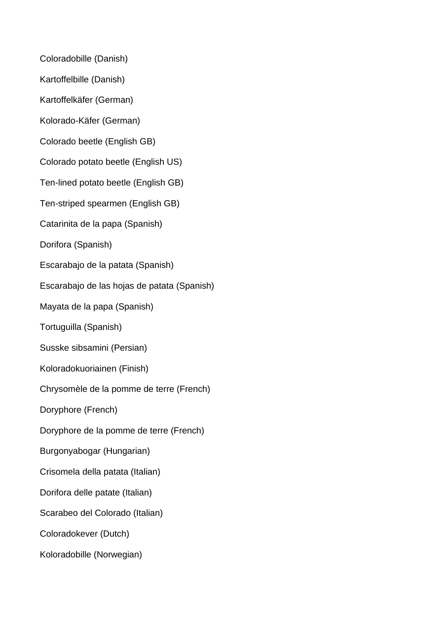Coloradobille (Danish) Kartoffelbille (Danish) Kartoffelkäfer (German) Kolorado-Käfer (German) Colorado beetle (English GB) Colorado potato beetle (English US) Ten-lined potato beetle (English GB) Ten-striped spearmen (English GB) Catarinita de la papa (Spanish) Dorifora (Spanish) Escarabajo de la patata (Spanish) Escarabajo de las hojas de patata (Spanish) Mayata de la papa (Spanish) Tortuguilla (Spanish) Susske sibsamini (Persian) Koloradokuoriainen (Finish) Chrysomèle de la pomme de terre (French) Doryphore (French) Doryphore de la pomme de terre (French) Burgonyabogar (Hungarian) Crisomela della patata (Italian) Dorifora delle patate (Italian) Scarabeo del Colorado (Italian) Coloradokever (Dutch) Koloradobille (Norwegian)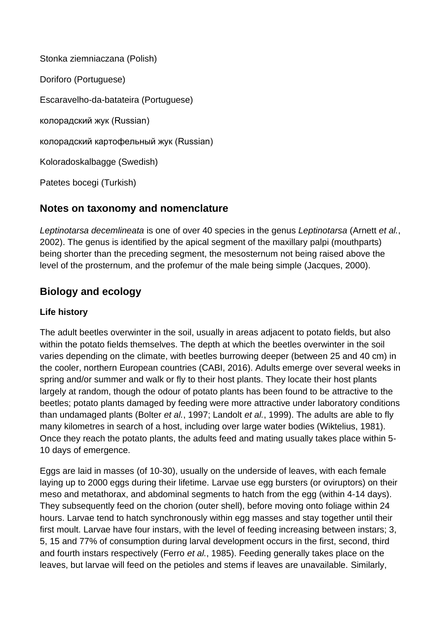Stonka ziemniaczana (Polish) Doriforo (Portuguese) Escaravelho-da-batateira (Portuguese) колорадский жук (Russian) колорадский картофельный жук (Russian) Koloradoskalbagge (Swedish) Patetes bocegi (Turkish)

### **Notes on taxonomy and nomenclature**

*Leptinotarsa decemlineata* is one of over 40 species in the genus *Leptinotarsa* (Arnett *et al.*, 2002). The genus is identified by the apical segment of the maxillary palpi (mouthparts) being shorter than the preceding segment, the mesosternum not being raised above the level of the prosternum, and the profemur of the male being simple (Jacques, 2000).

## **Biology and ecology**

### **Life history**

The adult beetles overwinter in the soil, usually in areas adjacent to potato fields, but also within the potato fields themselves. The depth at which the beetles overwinter in the soil varies depending on the climate, with beetles burrowing deeper (between 25 and 40 cm) in the cooler, northern European countries (CABI, 2016). Adults emerge over several weeks in spring and/or summer and walk or fly to their host plants. They locate their host plants largely at random, though the odour of potato plants has been found to be attractive to the beetles; potato plants damaged by feeding were more attractive under laboratory conditions than undamaged plants (Bolter *et al.*, 1997; Landolt *et al.*, 1999). The adults are able to fly many kilometres in search of a host, including over large water bodies (Wiktelius, 1981). Once they reach the potato plants, the adults feed and mating usually takes place within 5- 10 days of emergence.

Eggs are laid in masses (of 10-30), usually on the underside of leaves, with each female laying up to 2000 eggs during their lifetime. Larvae use egg bursters (or oviruptors) on their meso and metathorax, and abdominal segments to hatch from the egg (within 4-14 days). They subsequently feed on the chorion (outer shell), before moving onto foliage within 24 hours. Larvae tend to hatch synchronously within egg masses and stay together until their first moult. Larvae have four instars, with the level of feeding increasing between instars; 3, 5, 15 and 77% of consumption during larval development occurs in the first, second, third and fourth instars respectively (Ferro *et al.*, 1985). Feeding generally takes place on the leaves, but larvae will feed on the petioles and stems if leaves are unavailable. Similarly,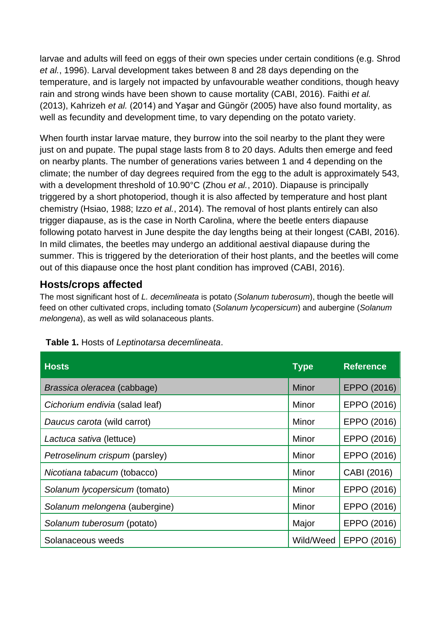larvae and adults will feed on eggs of their own species under certain conditions (e.g. Shrod *et al.*, 1996). Larval development takes between 8 and 28 days depending on the temperature, and is largely not impacted by unfavourable weather conditions, though heavy rain and strong winds have been shown to cause mortality (CABI, 2016). Faithi *et al.* (2013), Kahrizeh *et al.* (2014) and Yaşar and Güngör (2005) have also found mortality, as well as fecundity and development time, to vary depending on the potato variety.

When fourth instar larvae mature, they burrow into the soil nearby to the plant they were just on and pupate. The pupal stage lasts from 8 to 20 days. Adults then emerge and feed on nearby plants. The number of generations varies between 1 and 4 depending on the climate; the number of day degrees required from the egg to the adult is approximately 543, with a development threshold of 10.90°C (Zhou *et al.*, 2010). Diapause is principally triggered by a short photoperiod, though it is also affected by temperature and host plant chemistry (Hsiao, 1988; Izzo *et al.*, 2014). The removal of host plants entirely can also trigger diapause, as is the case in North Carolina, where the beetle enters diapause following potato harvest in June despite the day lengths being at their longest (CABI, 2016). In mild climates, the beetles may undergo an additional aestival diapause during the summer. This is triggered by the deterioration of their host plants, and the beetles will come out of this diapause once the host plant condition has improved (CABI, 2016).

### **Hosts/crops affected**

The most significant host of *L. decemlineata* is potato (*Solanum tuberosum*), though the beetle will feed on other cultivated crops, including tomato (*Solanum lycopersicum*) and aubergine (*Solanum melongena*), as well as wild solanaceous plants.

| <b>Hosts</b>                   | <b>Type</b> | <b>Reference</b> |
|--------------------------------|-------------|------------------|
| Brassica oleracea (cabbage)    | Minor       | EPPO (2016)      |
| Cichorium endivia (salad leaf) | Minor       | EPPO (2016)      |
| Daucus carota (wild carrot)    | Minor       | EPPO (2016)      |
| Lactuca sativa (lettuce)       | Minor       | EPPO (2016)      |
| Petroselinum crispum (parsley) | Minor       | EPPO (2016)      |
| Nicotiana tabacum (tobacco)    | Minor       | CABI (2016)      |
| Solanum lycopersicum (tomato)  | Minor       | EPPO (2016)      |
| Solanum melongena (aubergine)  | Minor       | EPPO (2016)      |
| Solanum tuberosum (potato)     | Major       | EPPO (2016)      |
| Solanaceous weeds              | Wild/Weed   | EPPO (2016)      |

#### **Table 1.** Hosts of *Leptinotarsa decemlineata*.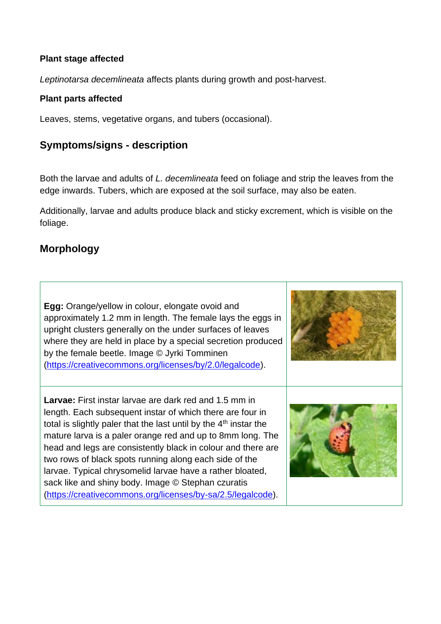#### **Plant stage affected**

*Leptinotarsa decemlineata* affects plants during growth and post-harvest.

#### **Plant parts affected**

Leaves, stems, vegetative organs, and tubers (occasional).

### **Symptoms/signs - description**

Both the larvae and adults of *L. decemlineata* feed on foliage and strip the leaves from the edge inwards. Tubers, which are exposed at the soil surface, may also be eaten.

Additionally, larvae and adults produce black and sticky excrement, which is visible on the foliage.

### **Morphology**

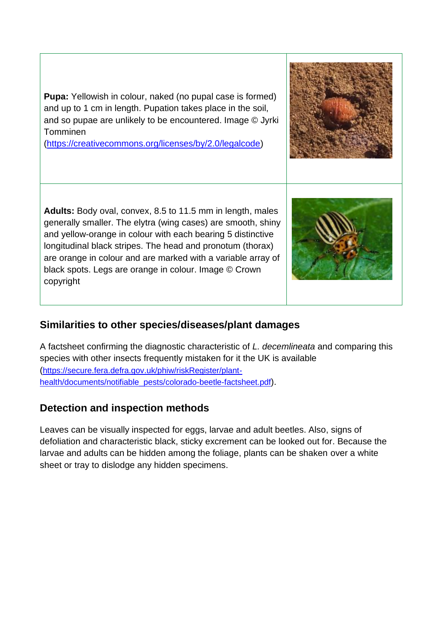**Pupa:** Yellowish in colour, naked (no pupal case is formed) and up to 1 cm in length. Pupation takes place in the soil, and so pupae are unlikely to be encountered. Image © Jyrki Tomminen

[\(https://creativecommons.org/licenses/by/2.0/legalcode\)](https://creativecommons.org/licenses/by/2.0/legalcode)

**Adults:** Body oval, convex, 8.5 to 11.5 mm in length, males generally smaller. The elytra (wing cases) are smooth, shiny and yellow-orange in colour with each bearing 5 distinctive longitudinal black stripes. The head and pronotum (thorax) are orange in colour and are marked with a variable array of black spots. Legs are orange in colour. Image © Crown copyright

### **Similarities to other species/diseases/plant damages**

A factsheet confirming the diagnostic characteristic of *L. decemlineata* and comparing this species with other insects frequently mistaken for it the UK is available ([https://secure.fera.defra.gov.uk/phiw/riskRegister/plant](https://secure.fera.defra.gov.uk/phiw/riskRegister/plant-health/documents/notifiable_pests/colorado-beetle-factsheet.pdf)[health/documents/notifiable\\_pests/colorado-beetle-factsheet.pdf](https://secure.fera.defra.gov.uk/phiw/riskRegister/plant-health/documents/notifiable_pests/colorado-beetle-factsheet.pdf)).

### **Detection and inspection methods**

Leaves can be visually inspected for eggs, larvae and adult beetles. Also, signs of defoliation and characteristic black, sticky excrement can be looked out for. Because the larvae and adults can be hidden among the foliage, plants can be shaken over a white sheet or tray to dislodge any hidden specimens.



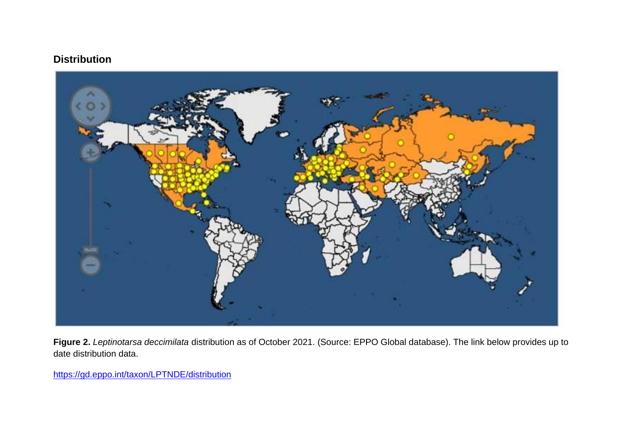### **Distribution**



**Figure 2.** *Leptinotarsa deccimilata* distribution as of October 2021. (Source: EPPO Global database). The link below provides up to date distribution data.

<https://gd.eppo.int/taxon/LPTNDE/distribution>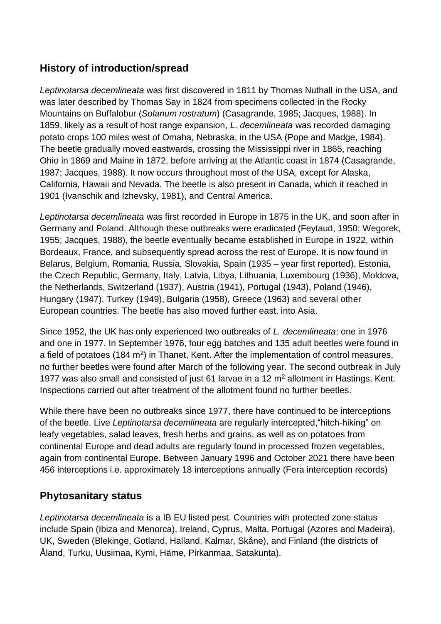## **History of introduction/spread**

*Leptinotarsa decemlineata* was first discovered in 1811 by Thomas Nuthall in the USA, and was later described by Thomas Say in 1824 from specimens collected in the Rocky Mountains on Buffalobur (*Solanum rostratum*) (Casagrande, 1985; Jacques, 1988). In 1859, likely as a result of host range expansion, *L. decemlineata* was recorded damaging potato crops 100 miles west of Omaha, Nebraska, in the USA (Pope and Madge, 1984). The beetle gradually moved eastwards, crossing the Mississippi river in 1865, reaching Ohio in 1869 and Maine in 1872, before arriving at the Atlantic coast in 1874 (Casagrande, 1987; Jacques, 1988). It now occurs throughout most of the USA, except for Alaska, California, Hawaii and Nevada. The beetle is also present in Canada, which it reached in 1901 (Ivanschik and Izhevsky, 1981), and Central America.

*Leptinotarsa decemlineata* was first recorded in Europe in 1875 in the UK, and soon after in Germany and Poland. Although these outbreaks were eradicated (Feytaud, 1950; Wegorek, 1955; Jacques, 1988), the beetle eventually became established in Europe in 1922, within Bordeaux, France, and subsequently spread across the rest of Europe. It is now found in Belarus, Belgium, Romania, Russia, Slovakia, Spain (1935 – year first reported), Estonia, the Czech Republic, Germany, Italy, Latvia, Libya, Lithuania, Luxembourg (1936), Moldova, the Netherlands, Switzerland (1937), Austria (1941), Portugal (1943), Poland (1946), Hungary (1947), Turkey (1949), Bulgaria (1958), Greece (1963) and several other European countries. The beetle has also moved further east, into Asia.

Since 1952, the UK has only experienced two outbreaks of *L. decemlineata*; one in 1976 and one in 1977. In September 1976, four egg batches and 135 adult beetles were found in a field of potatoes (184 m<sup>2</sup>) in Thanet, Kent. After the implementation of control measures, no further beetles were found after March of the following year. The second outbreak in July 1977 was also small and consisted of just 61 larvae in a 12 m<sup>2</sup> allotment in Hastings, Kent. Inspections carried out after treatment of the allotment found no further beetles.

While there have been no outbreaks since 1977, there have continued to be interceptions of the beetle. Live *Leptinotarsa decemlineata* are regularly intercepted,"hitch-hiking" on leafy vegetables, salad leaves, fresh herbs and grains, as well as on potatoes from continental Europe and dead adults are regularly found in processed frozen vegetables, again from continental Europe. Between January 1996 and October 2021 there have been 456 interceptions i.e. approximately 18 interceptions annually (Fera interception records)

### **Phytosanitary status**

*Leptinotarsa decemlineata* is a IB EU listed pest. Countries with protected zone status include Spain (Ibiza and Menorca), Ireland, Cyprus, Malta, Portugal (Azores and Madeira), UK, Sweden (Blekinge, Gotland, Halland, Kalmar, Skåne), and Finland (the districts of Åland, Turku, Uusimaa, Kymi, Häme, Pirkanmaa, Satakunta).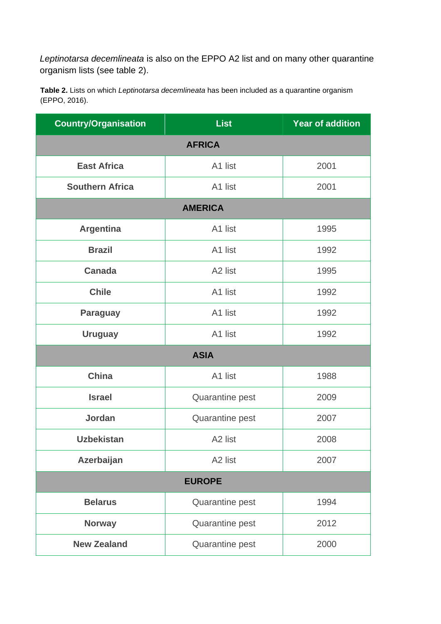*Leptinotarsa decemlineata* is also on the EPPO A2 list and on many other quarantine organism lists (see table 2).

**Table 2.** Lists on which *Leptinotarsa decemlineata* has been included as a quarantine organism (EPPO, 2016).

| <b>Country/Organisation</b> | <b>List</b>         | <b>Year of addition</b> |  |  |  |  |
|-----------------------------|---------------------|-------------------------|--|--|--|--|
| <b>AFRICA</b>               |                     |                         |  |  |  |  |
| <b>East Africa</b>          | A1 list             | 2001                    |  |  |  |  |
| <b>Southern Africa</b>      | A1 list             | 2001                    |  |  |  |  |
| <b>AMERICA</b>              |                     |                         |  |  |  |  |
| <b>Argentina</b>            | A1 list             | 1995                    |  |  |  |  |
| <b>Brazil</b>               | A1 list             | 1992                    |  |  |  |  |
| <b>Canada</b>               | A <sub>2</sub> list | 1995                    |  |  |  |  |
| <b>Chile</b>                | A1 list             | 1992                    |  |  |  |  |
| <b>Paraguay</b>             | A1 list             | 1992                    |  |  |  |  |
| <b>Uruguay</b>              | A1 list             | 1992                    |  |  |  |  |
| <b>ASIA</b>                 |                     |                         |  |  |  |  |
| <b>China</b>                | A1 list             | 1988                    |  |  |  |  |
| <b>Israel</b>               | Quarantine pest     | 2009                    |  |  |  |  |
| <b>Jordan</b>               | Quarantine pest     | 2007                    |  |  |  |  |
| <b>Uzbekistan</b>           | A <sub>2</sub> list | 2008                    |  |  |  |  |
| Azerbaijan                  | A <sub>2</sub> list | 2007                    |  |  |  |  |
| <b>EUROPE</b>               |                     |                         |  |  |  |  |
| <b>Belarus</b>              | Quarantine pest     | 1994                    |  |  |  |  |
| <b>Norway</b>               | Quarantine pest     | 2012                    |  |  |  |  |
| <b>New Zealand</b>          | Quarantine pest     | 2000                    |  |  |  |  |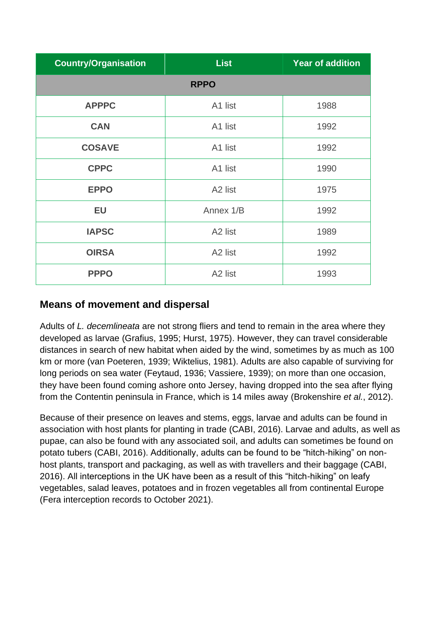| <b>Country/Organisation</b> | <b>List</b>         | <b>Year of addition</b> |  |  |  |  |
|-----------------------------|---------------------|-------------------------|--|--|--|--|
| <b>RPPO</b>                 |                     |                         |  |  |  |  |
| <b>APPPC</b>                | A1 list             | 1988                    |  |  |  |  |
| <b>CAN</b>                  | A1 list             | 1992                    |  |  |  |  |
| <b>COSAVE</b>               | A1 list             | 1992                    |  |  |  |  |
| <b>CPPC</b>                 | A1 list             | 1990                    |  |  |  |  |
| <b>EPPO</b>                 | A <sub>2</sub> list | 1975                    |  |  |  |  |
| <b>EU</b>                   | Annex 1/B           | 1992                    |  |  |  |  |
| <b>IAPSC</b>                | A <sub>2</sub> list | 1989                    |  |  |  |  |
| <b>OIRSA</b>                | A <sub>2</sub> list | 1992                    |  |  |  |  |
| <b>PPPO</b>                 | A <sub>2</sub> list | 1993                    |  |  |  |  |

### **Means of movement and dispersal**

Adults of *L. decemlineata* are not strong fliers and tend to remain in the area where they developed as larvae (Grafius, 1995; Hurst, 1975). However, they can travel considerable distances in search of new habitat when aided by the wind, sometimes by as much as 100 km or more (van Poeteren, 1939; Wiktelius, 1981). Adults are also capable of surviving for long periods on sea water (Feytaud, 1936; Vassiere, 1939); on more than one occasion, they have been found coming ashore onto Jersey, having dropped into the sea after flying from the Contentin peninsula in France, which is 14 miles away (Brokenshire *et al.*, 2012).

Because of their presence on leaves and stems, eggs, larvae and adults can be found in association with host plants for planting in trade (CABI, 2016). Larvae and adults, as well as pupae, can also be found with any associated soil, and adults can sometimes be found on potato tubers (CABI, 2016). Additionally, adults can be found to be "hitch-hiking" on nonhost plants, transport and packaging, as well as with travellers and their baggage (CABI, 2016). All interceptions in the UK have been as a result of this "hitch-hiking" on leafy vegetables, salad leaves, potatoes and in frozen vegetables all from continental Europe (Fera interception records to October 2021).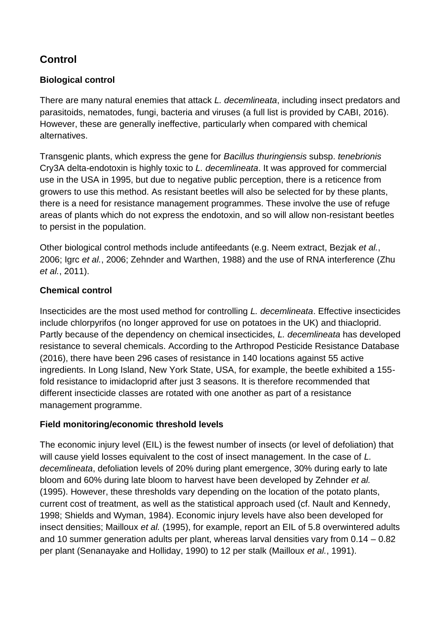## **Control**

### **Biological control**

There are many natural enemies that attack *L. decemlineata*, including insect predators and parasitoids, nematodes, fungi, bacteria and viruses (a full list is provided by CABI, 2016). However, these are generally ineffective, particularly when compared with chemical alternatives.

Transgenic plants, which express the gene for *Bacillus thuringiensis* subsp. *tenebrionis* Cry3A delta-endotoxin is highly toxic to *L. decemlineata*. It was approved for commercial use in the USA in 1995, but due to negative public perception, there is a reticence from growers to use this method. As resistant beetles will also be selected for by these plants, there is a need for resistance management programmes. These involve the use of refuge areas of plants which do not express the endotoxin, and so will allow non-resistant beetles to persist in the population.

Other biological control methods include antifeedants (e.g. Neem extract, Bezjak *et al.*, 2006; Igrc *et al.*, 2006; Zehnder and Warthen, 1988) and the use of RNA interference (Zhu *et al.*, 2011).

#### **Chemical control**

Insecticides are the most used method for controlling *L. decemlineata*. Effective insecticides include chlorpyrifos (no longer approved for use on potatoes in the UK) and thiacloprid. Partly because of the dependency on chemical insecticides, *L. decemlineata* has developed resistance to several chemicals. According to the Arthropod Pesticide Resistance Database (2016), there have been 296 cases of resistance in 140 locations against 55 active ingredients. In Long Island, New York State, USA, for example, the beetle exhibited a 155 fold resistance to imidacloprid after just 3 seasons. It is therefore recommended that different insecticide classes are rotated with one another as part of a resistance management programme.

#### **Field monitoring/economic threshold levels**

The economic injury level (EIL) is the fewest number of insects (or level of defoliation) that will cause yield losses equivalent to the cost of insect management. In the case of *L. decemlineata*, defoliation levels of 20% during plant emergence, 30% during early to late bloom and 60% during late bloom to harvest have been developed by Zehnder *et al.* (1995). However, these thresholds vary depending on the location of the potato plants, current cost of treatment, as well as the statistical approach used (cf. Nault and Kennedy, 1998; Shields and Wyman, 1984). Economic injury levels have also been developed for insect densities; Mailloux *et al.* (1995), for example, report an EIL of 5.8 overwintered adults and 10 summer generation adults per plant, whereas larval densities vary from 0.14 – 0.82 per plant (Senanayake and Holliday, 1990) to 12 per stalk (Mailloux *et al.*, 1991).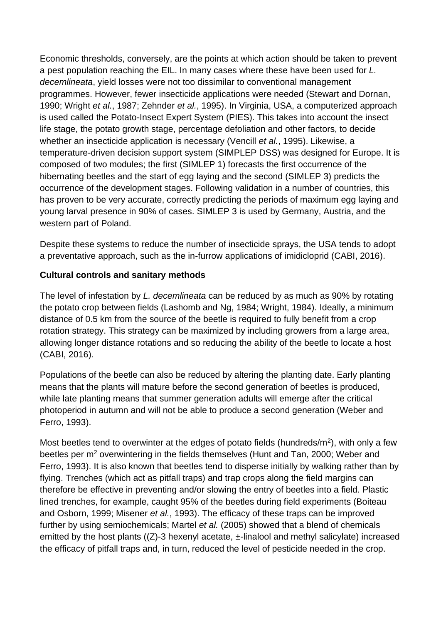Economic thresholds, conversely, are the points at which action should be taken to prevent a pest population reaching the EIL. In many cases where these have been used for *L. decemlineata*, yield losses were not too dissimilar to conventional management programmes. However, fewer insecticide applications were needed (Stewart and Dornan, 1990; Wright *et al.*, 1987; Zehnder *et al.*, 1995). In Virginia, USA, a computerized approach is used called the Potato-Insect Expert System (PIES). This takes into account the insect life stage, the potato growth stage, percentage defoliation and other factors, to decide whether an insecticide application is necessary (Vencill *et al.*, 1995). Likewise, a temperature-driven decision support system (SIMPLEP DSS) was designed for Europe. It is composed of two modules; the first (SIMLEP 1) forecasts the first occurrence of the hibernating beetles and the start of egg laying and the second (SIMLEP 3) predicts the occurrence of the development stages. Following validation in a number of countries, this has proven to be very accurate, correctly predicting the periods of maximum egg laying and young larval presence in 90% of cases. SIMLEP 3 is used by Germany, Austria, and the western part of Poland.

Despite these systems to reduce the number of insecticide sprays, the USA tends to adopt a preventative approach, such as the in-furrow applications of imidicloprid (CABI, 2016).

#### **Cultural controls and sanitary methods**

The level of infestation by *L. decemlineata* can be reduced by as much as 90% by rotating the potato crop between fields (Lashomb and Ng, 1984; Wright, 1984). Ideally, a minimum distance of 0.5 km from the source of the beetle is required to fully benefit from a crop rotation strategy. This strategy can be maximized by including growers from a large area, allowing longer distance rotations and so reducing the ability of the beetle to locate a host (CABI, 2016).

Populations of the beetle can also be reduced by altering the planting date. Early planting means that the plants will mature before the second generation of beetles is produced, while late planting means that summer generation adults will emerge after the critical photoperiod in autumn and will not be able to produce a second generation (Weber and Ferro, 1993).

Most beetles tend to overwinter at the edges of potato fields (hundreds/ $m<sup>2</sup>$ ), with only a few beetles per m<sup>2</sup> overwintering in the fields themselves (Hunt and Tan, 2000; Weber and Ferro, 1993). It is also known that beetles tend to disperse initially by walking rather than by flying. Trenches (which act as pitfall traps) and trap crops along the field margins can therefore be effective in preventing and/or slowing the entry of beetles into a field. Plastic lined trenches, for example, caught 95% of the beetles during field experiments (Boiteau and Osborn, 1999; Misener *et al.*, 1993). The efficacy of these traps can be improved further by using semiochemicals; Martel *et al.* (2005) showed that a blend of chemicals emitted by the host plants  $((Z)-3$  hexenyl acetate,  $\pm$ -linalool and methyl salicylate) increased the efficacy of pitfall traps and, in turn, reduced the level of pesticide needed in the crop.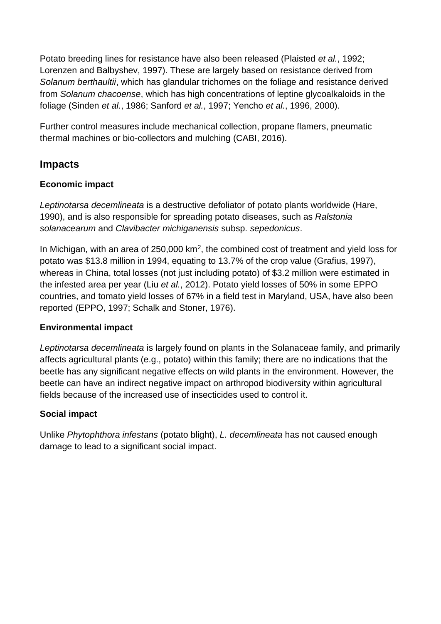Potato breeding lines for resistance have also been released (Plaisted *et al.*, 1992; Lorenzen and Balbyshev, 1997). These are largely based on resistance derived from *Solanum berthaultii*, which has glandular trichomes on the foliage and resistance derived from *Solanum chacoense*, which has high concentrations of leptine glycoalkaloids in the foliage (Sinden *et al.*, 1986; Sanford *et al.*, 1997; Yencho *et al.*, 1996, 2000).

Further control measures include mechanical collection, propane flamers, pneumatic thermal machines or bio-collectors and mulching (CABI, 2016).

### **Impacts**

#### **Economic impact**

*Leptinotarsa decemlineata* is a destructive defoliator of potato plants worldwide (Hare, 1990), and is also responsible for spreading potato diseases, such as *Ralstonia solanacearum* and *Clavibacter michiganensis* subsp. *sepedonicus*.

In Michigan, with an area of  $250,000$  km<sup>2</sup>, the combined cost of treatment and yield loss for potato was \$13.8 million in 1994, equating to 13.7% of the crop value (Grafius, 1997), whereas in China, total losses (not just including potato) of \$3.2 million were estimated in the infested area per year (Liu *et al.*, 2012). Potato yield losses of 50% in some EPPO countries, and tomato yield losses of 67% in a field test in Maryland, USA, have also been reported (EPPO, 1997; Schalk and Stoner, 1976).

### **Environmental impact**

*Leptinotarsa decemlineata* is largely found on plants in the Solanaceae family, and primarily affects agricultural plants (e.g., potato) within this family; there are no indications that the beetle has any significant negative effects on wild plants in the environment. However, the beetle can have an indirect negative impact on arthropod biodiversity within agricultural fields because of the increased use of insecticides used to control it.

### **Social impact**

Unlike *Phytophthora infestans* (potato blight), *L. decemlineata* has not caused enough damage to lead to a significant social impact.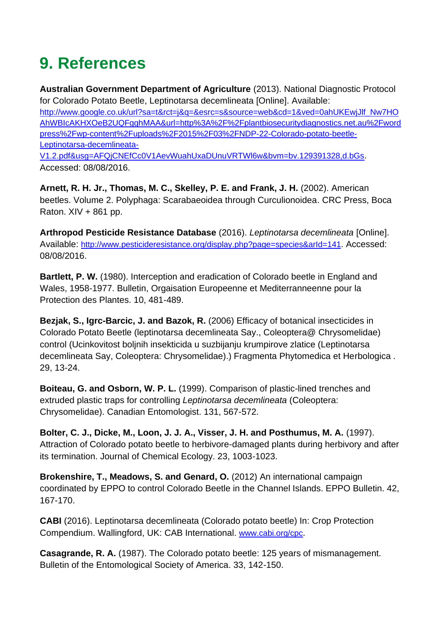# <span id="page-30-0"></span>**9. References**

**Australian Government Department of Agriculture** (2013). National Diagnostic Protocol for Colorado Potato Beetle, Leptinotarsa decemlineata [Online]. Available: [http://www.google.co.uk/url?sa=t&rct=j&q=&esrc=s&source=web&cd=1&ved=0ahUKEwjJlf\\_Nw7HO](http://www.google.co.uk/url?sa=t&rct=j&q=&esrc=s&source=web&cd=1&ved=0ahUKEwjJlf_Nw7HOAhWBIcAKHXOeB2UQFgghMAA&url=http%3A%2F%2Fplantbiosecuritydiagnostics.net.au%2Fwordpress%2Fwp-content%2Fuploads%2F2015%2F03%2FNDP-22-Colorado-potato-beetle-Leptinotarsa-decemlineata-V1.2.pdf&usg=AFQjCNEfCc0V1AevWuahUxaDUnuVRTWl6w&bvm=bv.129391328,d.bGs) [AhWBIcAKHXOeB2UQFgghMAA&url=http%3A%2F%2Fplantbiosecuritydiagnostics.net.au%2Fword](http://www.google.co.uk/url?sa=t&rct=j&q=&esrc=s&source=web&cd=1&ved=0ahUKEwjJlf_Nw7HOAhWBIcAKHXOeB2UQFgghMAA&url=http%3A%2F%2Fplantbiosecuritydiagnostics.net.au%2Fwordpress%2Fwp-content%2Fuploads%2F2015%2F03%2FNDP-22-Colorado-potato-beetle-Leptinotarsa-decemlineata-V1.2.pdf&usg=AFQjCNEfCc0V1AevWuahUxaDUnuVRTWl6w&bvm=bv.129391328,d.bGs) [press%2Fwp-content%2Fuploads%2F2015%2F03%2FNDP-22-Colorado-potato-beetle-](http://www.google.co.uk/url?sa=t&rct=j&q=&esrc=s&source=web&cd=1&ved=0ahUKEwjJlf_Nw7HOAhWBIcAKHXOeB2UQFgghMAA&url=http%3A%2F%2Fplantbiosecuritydiagnostics.net.au%2Fwordpress%2Fwp-content%2Fuploads%2F2015%2F03%2FNDP-22-Colorado-potato-beetle-Leptinotarsa-decemlineata-V1.2.pdf&usg=AFQjCNEfCc0V1AevWuahUxaDUnuVRTWl6w&bvm=bv.129391328,d.bGs)[Leptinotarsa-decemlineata-](http://www.google.co.uk/url?sa=t&rct=j&q=&esrc=s&source=web&cd=1&ved=0ahUKEwjJlf_Nw7HOAhWBIcAKHXOeB2UQFgghMAA&url=http%3A%2F%2Fplantbiosecuritydiagnostics.net.au%2Fwordpress%2Fwp-content%2Fuploads%2F2015%2F03%2FNDP-22-Colorado-potato-beetle-Leptinotarsa-decemlineata-V1.2.pdf&usg=AFQjCNEfCc0V1AevWuahUxaDUnuVRTWl6w&bvm=bv.129391328,d.bGs)[V1.2.pdf&usg=AFQjCNEfCc0V1AevWuahUxaDUnuVRTWl6w&bvm=bv.129391328,d.bGs](http://www.google.co.uk/url?sa=t&rct=j&q=&esrc=s&source=web&cd=1&ved=0ahUKEwjJlf_Nw7HOAhWBIcAKHXOeB2UQFgghMAA&url=http%3A%2F%2Fplantbiosecuritydiagnostics.net.au%2Fwordpress%2Fwp-content%2Fuploads%2F2015%2F03%2FNDP-22-Colorado-potato-beetle-Leptinotarsa-decemlineata-V1.2.pdf&usg=AFQjCNEfCc0V1AevWuahUxaDUnuVRTWl6w&bvm=bv.129391328,d.bGs).

Accessed: 08/08/2016.

**Arnett, R. H. Jr., Thomas, M. C., Skelley, P. E. and Frank, J. H.** (2002). American beetles. Volume 2. Polyphaga: Scarabaeoidea through Curculionoidea. CRC Press, Boca Raton.  $XIV + 861$  pp.

**Arthropod Pesticide Resistance Database** (2016). *Leptinotarsa decemlineata* [Online]. Available: <http://www.pesticideresistance.org/display.php?page=species&arId=141>. Accessed: 08/08/2016.

**Bartlett, P. W.** (1980). Interception and eradication of Colorado beetle in England and Wales, 1958-1977. Bulletin, Orgaisation Europeenne et Mediterranneenne pour la Protection des Plantes. 10, 481-489.

**Bezjak, S., Igrc-Barcic, J. and Bazok, R.** (2006) Efficacy of botanical insecticides in Colorado Potato Beetle (leptinotarsa decemlineata Say., Coleoptera@ Chrysomelidae) control (Ucinkovitost boljnih insekticida u suzbijanju krumpirove zlatice (Leptinotarsa decemlineata Say, Coleoptera: Chrysomelidae).) Fragmenta Phytomedica et Herbologica . 29, 13-24.

**Boiteau, G. and Osborn, W. P. L.** (1999). Comparison of plastic-lined trenches and extruded plastic traps for controlling *Leptinotarsa decemlineata* (Coleoptera: Chrysomelidae). Canadian Entomologist. 131, 567-572.

**Bolter, C. J., Dicke, M., Loon, J. J. A., Visser, J. H. and Posthumus, M. A.** (1997). Attraction of Colorado potato beetle to herbivore-damaged plants during herbivory and after its termination. Journal of Chemical Ecology. 23, 1003-1023.

**Brokenshire, T., Meadows, S. and Genard, O.** (2012) An international campaign coordinated by EPPO to control Colorado Beetle in the Channel Islands. EPPO Bulletin. 42, 167-170.

**CABI** (2016). Leptinotarsa decemlineata (Colorado potato beetle) In: Crop Protection Compendium. Wallingford, UK: CAB International. [www.cabi.org/cpc](http://www.cabi.org/cpc).

**Casagrande, R. A.** (1987). The Colorado potato beetle: 125 years of mismanagement. Bulletin of the Entomological Society of America. 33, 142-150.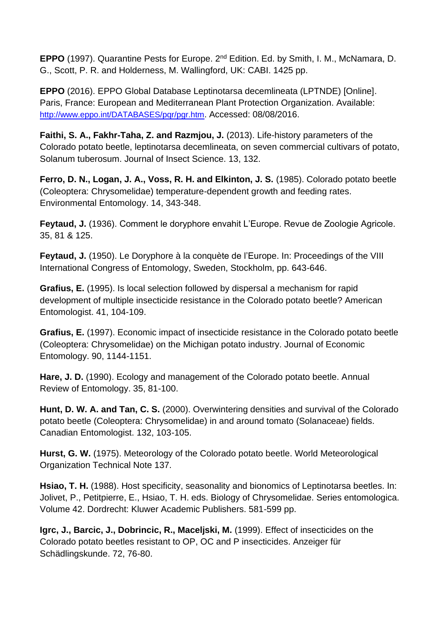**EPPO** (1997). Quarantine Pests for Europe. 2nd Edition. Ed. by Smith, I. M., McNamara, D. G., Scott, P. R. and Holderness, M. Wallingford, UK: CABI. 1425 pp.

**EPPO** (2016). EPPO Global Database Leptinotarsa decemlineata (LPTNDE) [Online]. Paris, France: European and Mediterranean Plant Protection Organization. Available: <http://www.eppo.int/DATABASES/pqr/pgr.htm>. Accessed: 08/08/2016.

**Faithi, S. A., Fakhr-Taha, Z. and Razmjou, J.** (2013). Life-history parameters of the Colorado potato beetle, leptinotarsa decemlineata, on seven commercial cultivars of potato, Solanum tuberosum. Journal of Insect Science. 13, 132.

**Ferro, D. N., Logan, J. A., Voss, R. H. and Elkinton, J. S.** (1985). Colorado potato beetle (Coleoptera: Chrysomelidae) temperature-dependent growth and feeding rates. Environmental Entomology. 14, 343-348.

**Feytaud, J.** (1936). Comment le doryphore envahit L'Europe. Revue de Zoologie Agricole. 35, 81 & 125.

**Feytaud, J.** (1950). Le Doryphore à la conquète de l'Europe. In: Proceedings of the VIII International Congress of Entomology, Sweden, Stockholm, pp. 643-646.

**Grafius, E.** (1995). Is local selection followed by dispersal a mechanism for rapid development of multiple insecticide resistance in the Colorado potato beetle? American Entomologist. 41, 104-109.

**Grafius, E.** (1997). Economic impact of insecticide resistance in the Colorado potato beetle (Coleoptera: Chrysomelidae) on the Michigan potato industry. Journal of Economic Entomology. 90, 1144-1151.

**Hare, J. D.** (1990). Ecology and management of the Colorado potato beetle. Annual Review of Entomology. 35, 81-100.

**Hunt, D. W. A. and Tan, C. S.** (2000). Overwintering densities and survival of the Colorado potato beetle (Coleoptera: Chrysomelidae) in and around tomato (Solanaceae) fields. Canadian Entomologist. 132, 103-105.

**Hurst, G. W.** (1975). Meteorology of the Colorado potato beetle. World Meteorological Organization Technical Note 137.

**Hsiao, T. H.** (1988). Host specificity, seasonality and bionomics of Leptinotarsa beetles. In: Jolivet, P., Petitpierre, E., Hsiao, T. H. eds. Biology of Chrysomelidae. Series entomologica. Volume 42. Dordrecht: Kluwer Academic Publishers. 581-599 pp.

**Igrc, J., Barcic, J., Dobrincic, R., Maceljski, M.** (1999). Effect of insecticides on the Colorado potato beetles resistant to OP, OC and P insecticides. Anzeiger für Schädlingskunde. 72, 76-80.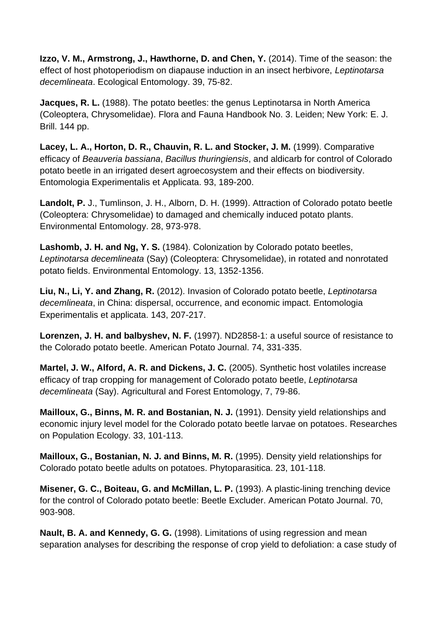**Izzo, V. M., Armstrong, J., Hawthorne, D. and Chen, Y.** (2014). Time of the season: the effect of host photoperiodism on diapause induction in an insect herbivore, *Leptinotarsa decemlineata*. Ecological Entomology. 39, 75-82.

**Jacques, R. L.** (1988). The potato beetles: the genus Leptinotarsa in North America (Coleoptera, Chrysomelidae). Flora and Fauna Handbook No. 3. Leiden; New York: E. J. Brill. 144 pp.

**Lacey, L. A., Horton, D. R., Chauvin, R. L. and Stocker, J. M.** (1999). Comparative efficacy of *Beauveria bassiana*, *Bacillus thuringiensis*, and aldicarb for control of Colorado potato beetle in an irrigated desert agroecosystem and their effects on biodiversity. Entomologia Experimentalis et Applicata. 93, 189-200.

**Landolt, P.** J., Tumlinson, J. H., Alborn, D. H. (1999). Attraction of Colorado potato beetle (Coleoptera: Chrysomelidae) to damaged and chemically induced potato plants. Environmental Entomology. 28, 973-978.

**Lashomb, J. H. and Ng, Y. S.** (1984). Colonization by Colorado potato beetles, *Leptinotarsa decemlineata* (Say) (Coleoptera: Chrysomelidae), in rotated and nonrotated potato fields. Environmental Entomology. 13, 1352-1356.

**Liu, N., Li, Y. and Zhang, R.** (2012). Invasion of Colorado potato beetle, *Leptinotarsa decemlineata*, in China: dispersal, occurrence, and economic impact. Entomologia Experimentalis et applicata. 143, 207-217.

**Lorenzen, J. H. and balbyshev, N. F.** (1997). ND2858-1: a useful source of resistance to the Colorado potato beetle. American Potato Journal. 74, 331-335.

**Martel, J. W., Alford, A. R. and Dickens, J. C.** (2005). Synthetic host volatiles increase efficacy of trap cropping for management of Colorado potato beetle, *Leptinotarsa decemlineata* (Say). Agricultural and Forest Entomology, 7, 79-86.

**Mailloux, G., Binns, M. R. and Bostanian, N. J.** (1991). Density yield relationships and economic injury level model for the Colorado potato beetle larvae on potatoes. Researches on Population Ecology. 33, 101-113.

**Mailloux, G., Bostanian, N. J. and Binns, M. R.** (1995). Density yield relationships for Colorado potato beetle adults on potatoes. Phytoparasitica. 23, 101-118.

**Misener, G. C., Boiteau, G. and McMillan, L. P.** (1993). A plastic-lining trenching device for the control of Colorado potato beetle: Beetle Excluder. American Potato Journal. 70, 903-908.

**Nault, B. A. and Kennedy, G. G.** (1998). Limitations of using regression and mean separation analyses for describing the response of crop yield to defoliation: a case study of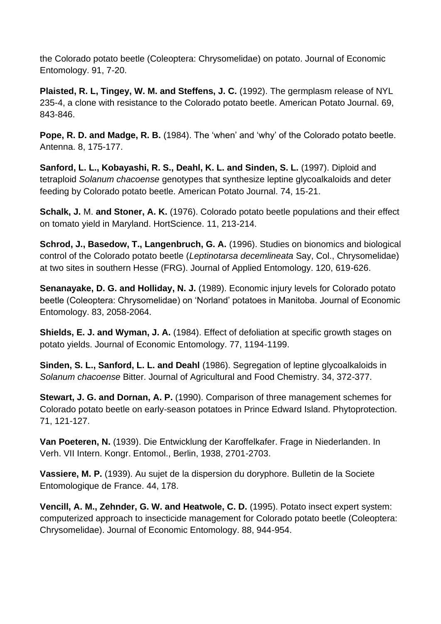the Colorado potato beetle (Coleoptera: Chrysomelidae) on potato. Journal of Economic Entomology. 91, 7-20.

**Plaisted, R. L, Tingey, W. M. and Steffens, J. C.** (1992). The germplasm release of NYL 235-4, a clone with resistance to the Colorado potato beetle. American Potato Journal. 69, 843-846.

**Pope, R. D. and Madge, R. B.** (1984). The 'when' and 'why' of the Colorado potato beetle. Antenna. 8, 175-177.

**Sanford, L. L., Kobayashi, R. S., Deahl, K. L. and Sinden, S. L.** (1997). Diploid and tetraploid *Solanum chacoense* genotypes that synthesize leptine glycoalkaloids and deter feeding by Colorado potato beetle. American Potato Journal. 74, 15-21.

**Schalk, J.** M. **and Stoner, A. K.** (1976). Colorado potato beetle populations and their effect on tomato yield in Maryland. HortScience. 11, 213-214.

**Schrod, J., Basedow, T., Langenbruch, G. A.** (1996). Studies on bionomics and biological control of the Colorado potato beetle (*Leptinotarsa decemlineata* Say, Col., Chrysomelidae) at two sites in southern Hesse (FRG). Journal of Applied Entomology. 120, 619-626.

**Senanayake, D. G. and Holliday, N. J.** (1989). Economic injury levels for Colorado potato beetle (Coleoptera: Chrysomelidae) on 'Norland' potatoes in Manitoba. Journal of Economic Entomology. 83, 2058-2064.

**Shields, E. J. and Wyman, J. A.** (1984). Effect of defoliation at specific growth stages on potato yields. Journal of Economic Entomology. 77, 1194-1199.

**Sinden, S. L., Sanford, L. L. and Deahl** (1986). Segregation of leptine glycoalkaloids in *Solanum chacoense* Bitter. Journal of Agricultural and Food Chemistry. 34, 372-377.

**Stewart, J. G. and Dornan, A. P.** (1990). Comparison of three management schemes for Colorado potato beetle on early-season potatoes in Prince Edward Island. Phytoprotection. 71, 121-127.

**Van Poeteren, N.** (1939). Die Entwicklung der Karoffelkafer. Frage in Niederlanden. In Verh. VII Intern. Kongr. Entomol., Berlin, 1938, 2701-2703.

**Vassiere, M. P.** (1939). Au sujet de la dispersion du doryphore. Bulletin de la Societe Entomologique de France. 44, 178.

**Vencill, A. M., Zehnder, G. W. and Heatwole, C. D.** (1995). Potato insect expert system: computerized approach to insecticide management for Colorado potato beetle (Coleoptera: Chrysomelidae). Journal of Economic Entomology. 88, 944-954.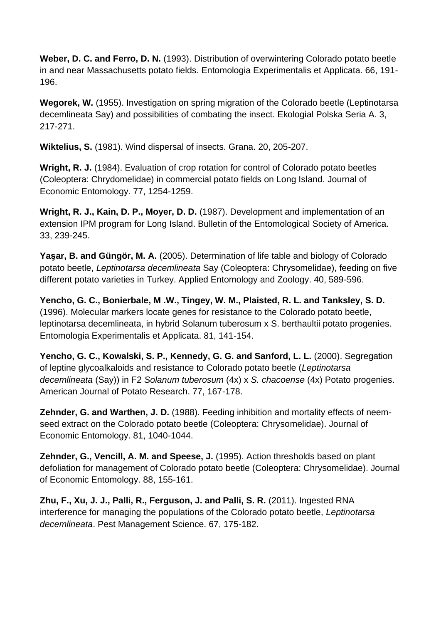**Weber, D. C. and Ferro, D. N.** (1993). Distribution of overwintering Colorado potato beetle in and near Massachusetts potato fields. Entomologia Experimentalis et Applicata. 66, 191- 196.

**Wegorek, W.** (1955). Investigation on spring migration of the Colorado beetle (Leptinotarsa decemlineata Say) and possibilities of combating the insect. Ekologial Polska Seria A. 3, 217-271.

**Wiktelius, S.** (1981). Wind dispersal of insects. Grana. 20, 205-207.

**Wright, R. J.** (1984). Evaluation of crop rotation for control of Colorado potato beetles (Coleoptera: Chrydomelidae) in commercial potato fields on Long Island. Journal of Economic Entomology. 77, 1254-1259.

**Wright, R. J., Kain, D. P., Moyer, D. D.** (1987). Development and implementation of an extension IPM program for Long Island. Bulletin of the Entomological Society of America. 33, 239-245.

**Yaşar, B. and Güngör, M. A.** (2005). Determination of life table and biology of Colorado potato beetle, *Leptinotarsa decemlineata* Say (Coleoptera: Chrysomelidae), feeding on five different potato varieties in Turkey. Applied Entomology and Zoology. 40, 589-596.

**Yencho, G. C., Bonierbale, M .W., Tingey, W. M., Plaisted, R. L. and Tanksley, S. D.** (1996). Molecular markers locate genes for resistance to the Colorado potato beetle, leptinotarsa decemlineata, in hybrid Solanum tuberosum x S. berthaultii potato progenies. Entomologia Experimentalis et Applicata. 81, 141-154.

**Yencho, G. C., Kowalski, S. P., Kennedy, G. G. and Sanford, L. L.** (2000). Segregation of leptine glycoalkaloids and resistance to Colorado potato beetle (*Leptinotarsa decemlineata* (Say)) in F2 *Solanum tuberosum* (4x) x *S. chacoense* (4x) Potato progenies. American Journal of Potato Research. 77, 167-178.

**Zehnder, G. and Warthen, J. D.** (1988). Feeding inhibition and mortality effects of neemseed extract on the Colorado potato beetle (Coleoptera: Chrysomelidae). Journal of Economic Entomology. 81, 1040-1044.

**Zehnder, G., Vencill, A. M. and Speese, J.** (1995). Action thresholds based on plant defoliation for management of Colorado potato beetle (Coleoptera: Chrysomelidae). Journal of Economic Entomology. 88, 155-161.

**Zhu, F., Xu, J. J., Palli, R., Ferguson, J. and Palli, S. R.** (2011). Ingested RNA interference for managing the populations of the Colorado potato beetle, *Leptinotarsa decemlineata*. Pest Management Science. 67, 175-182.